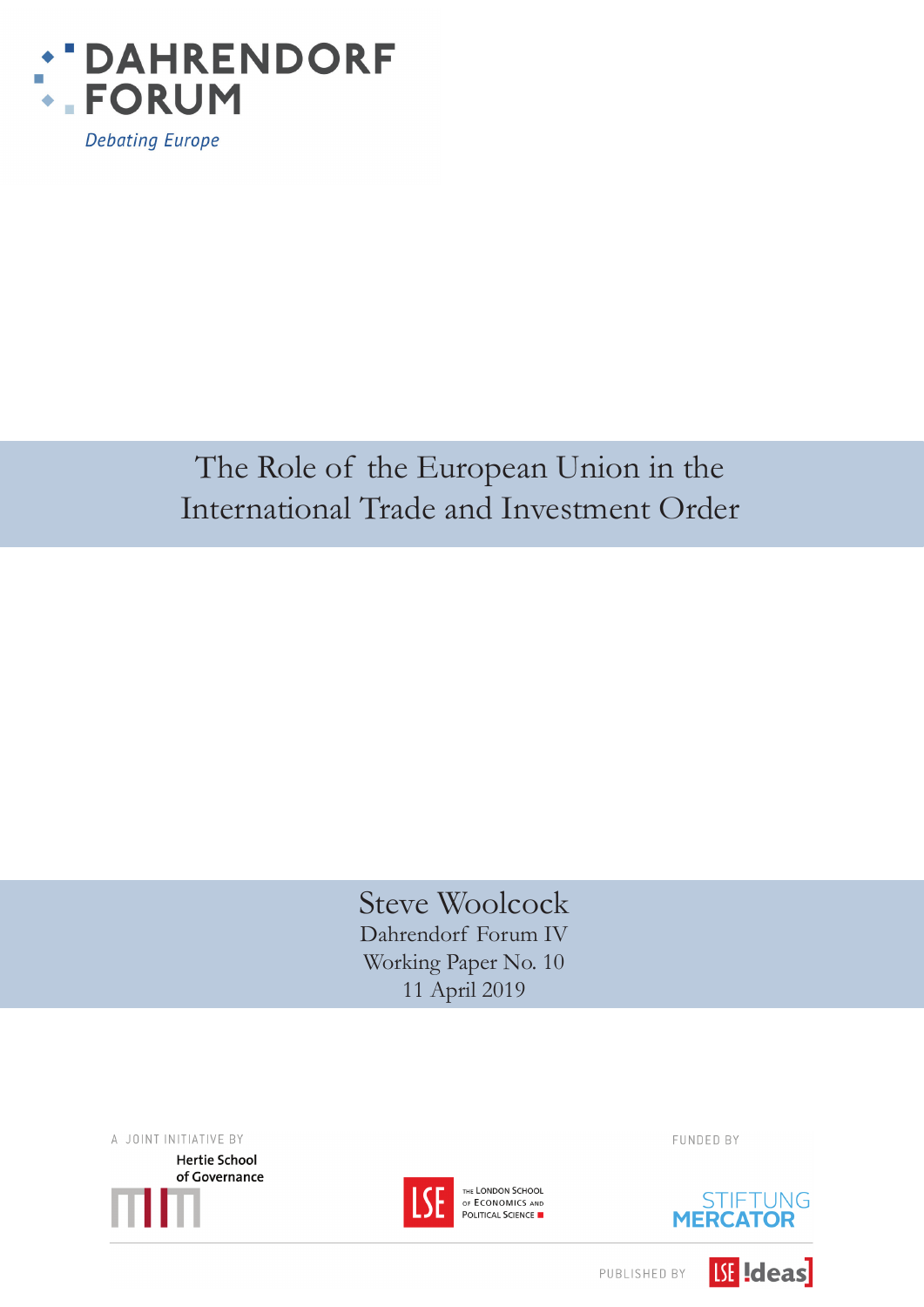

**Debating Europe** 

# The Role of the European Union in the International Trade and Investment Order

Steve Woolcock Dahrendorf Forum IV Working Paper No. 10 11 April 2019

A JOINT INITIATIVE BY **Hertie School** of Governance



THE LONDON SCHOOL OF ECONOMICS AND POLITICAL SCIENCE FUNDED BY



**ISE** Ideas

PUBLISHED BY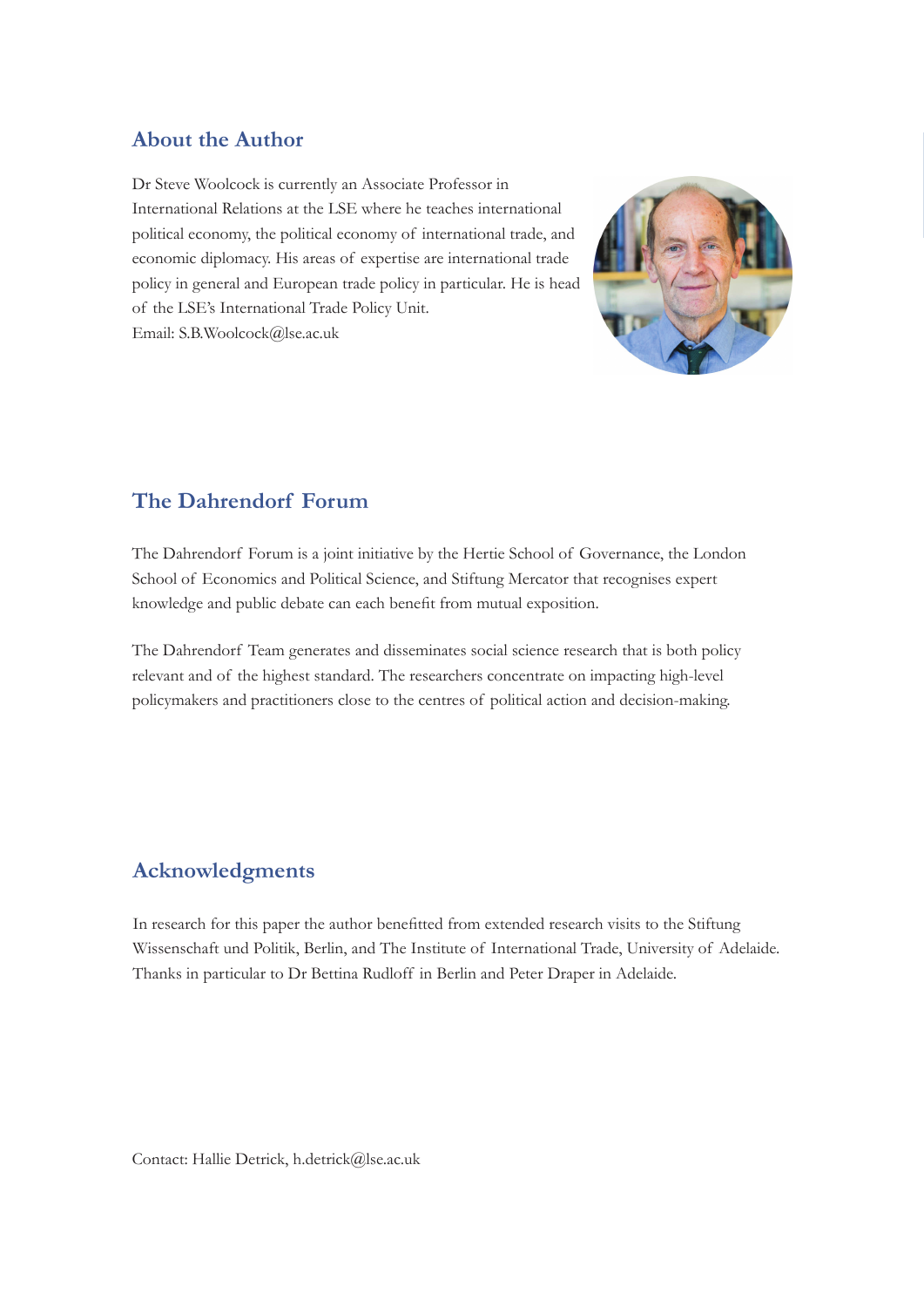# **About the Author**

Dr Steve Woolcock is currently an Associate Professor in International Relations at the LSE where he teaches international political economy, the political economy of international trade, and economic diplomacy. His areas of expertise are international trade policy in general and European trade policy in particular. He is head of the LSE's International Trade Policy Unit. Email: S.B.Woolcock@lse.ac.uk



# **The Dahrendorf Forum**

The Dahrendorf Forum is a joint initiative by the Hertie School of Governance, the London School of Economics and Political Science, and Stiftung Mercator that recognises expert knowledge and public debate can each benefit from mutual exposition.

The Dahrendorf Team generates and disseminates social science research that is both policy relevant and of the highest standard. The researchers concentrate on impacting high-level policymakers and practitioners close to the centres of political action and decision-making.

# **Acknowledgments**

In research for this paper the author benefitted from extended research visits to the Stiftung Wissenschaft und Politik, Berlin, and The Institute of International Trade, University of Adelaide. Thanks in particular to Dr Bettina Rudloff in Berlin and Peter Draper in Adelaide.

Contact: Hallie Detrick, h.detrick@lse.ac.uk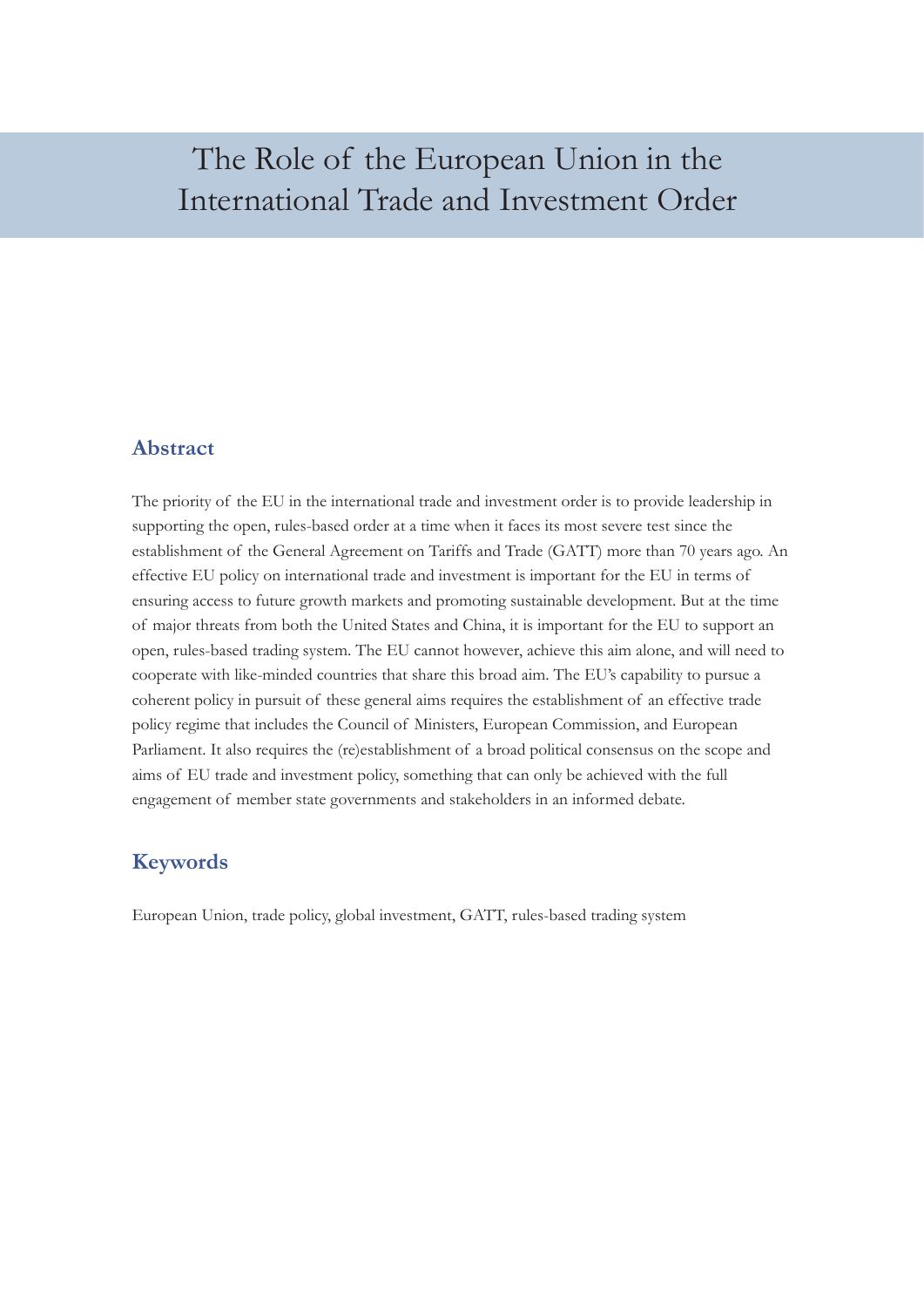# The Role of the European Union in the International Trade and Investment Order

## **Abstract**

The priority of the EU in the international trade and investment order is to provide leadership in supporting the open, rules-based order at a time when it faces its most severe test since the establishment of the General Agreement on Tariffs and Trade (GATT) more than 70 years ago. An effective EU policy on international trade and investment is important for the EU in terms of ensuring access to future growth markets and promoting sustainable development. But at the time of major threats from both the United States and China, it is important for the EU to support an open, rules-based trading system. The EU cannot however, achieve this aim alone, and will need to cooperate with like-minded countries that share this broad aim. The EU's capability to pursue a coherent policy in pursuit of these general aims requires the establishment of an effective trade policy regime that includes the Council of Ministers, European Commission, and European Parliament. It also requires the (re)establishment of a broad political consensus on the scope and aims of EU trade and investment policy, something that can only be achieved with the full engagement of member state governments and stakeholders in an informed debate.

# **Keywords**

European Union, trade policy, global investment, GATT, rules-based trading system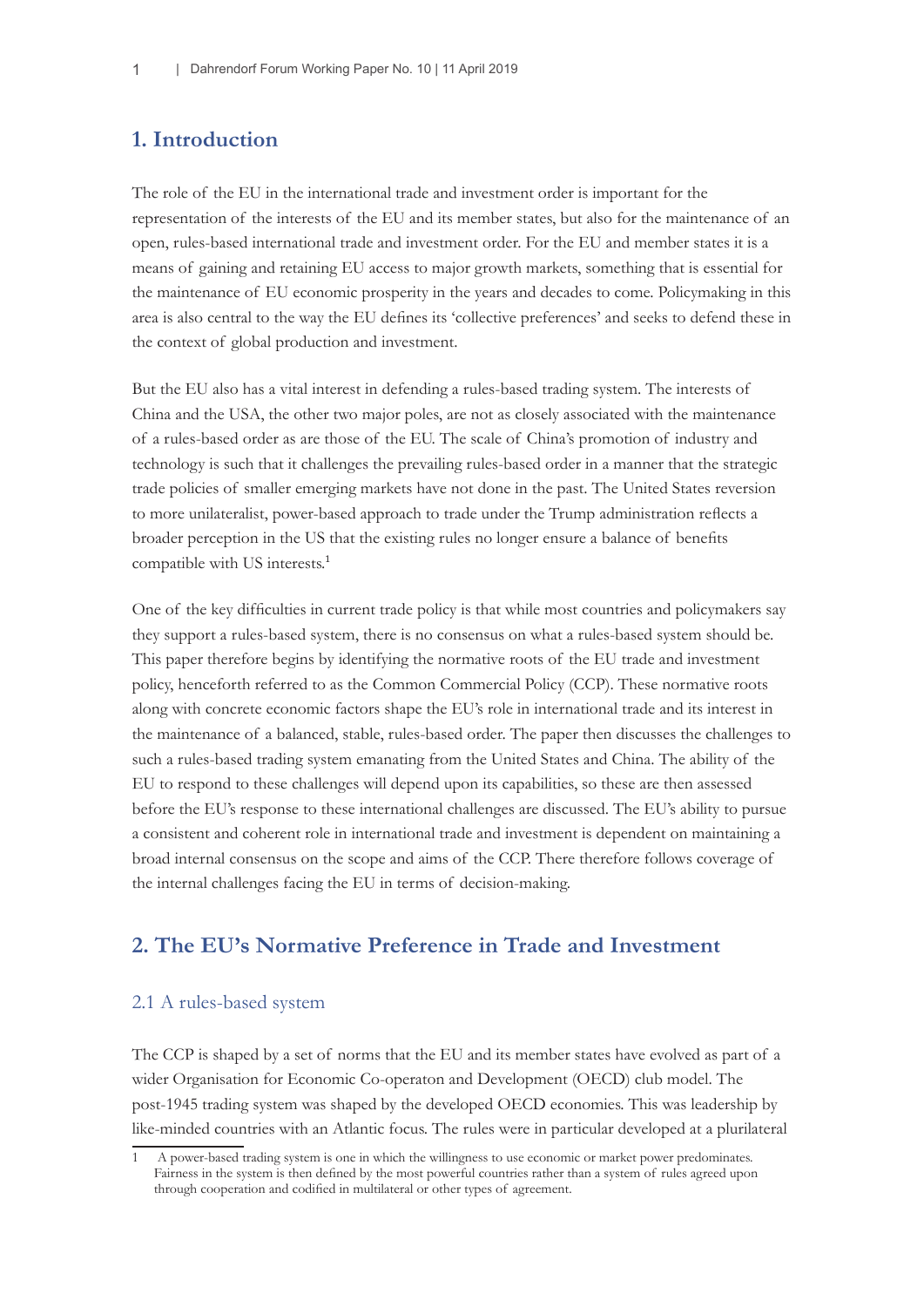# **1. Introduction**

The role of the EU in the international trade and investment order is important for the representation of the interests of the EU and its member states, but also for the maintenance of an open, rules-based international trade and investment order. For the EU and member states it is a means of gaining and retaining EU access to major growth markets, something that is essential for the maintenance of EU economic prosperity in the years and decades to come. Policymaking in this area is also central to the way the EU defines its 'collective preferences' and seeks to defend these in the context of global production and investment.

But the EU also has a vital interest in defending a rules-based trading system. The interests of China and the USA, the other two major poles, are not as closely associated with the maintenance of a rules-based order as are those of the EU. The scale of China's promotion of industry and technology is such that it challenges the prevailing rules-based order in a manner that the strategic trade policies of smaller emerging markets have not done in the past. The United States reversion to more unilateralist, power-based approach to trade under the Trump administration reflects a broader perception in the US that the existing rules no longer ensure a balance of benefits compatible with US interests.<sup>1</sup>

One of the key difficulties in current trade policy is that while most countries and policymakers say they support a rules-based system, there is no consensus on what a rules-based system should be. This paper therefore begins by identifying the normative roots of the EU trade and investment policy, henceforth referred to as the Common Commercial Policy (CCP). These normative roots along with concrete economic factors shape the EU's role in international trade and its interest in the maintenance of a balanced, stable, rules-based order. The paper then discusses the challenges to such a rules-based trading system emanating from the United States and China. The ability of the EU to respond to these challenges will depend upon its capabilities, so these are then assessed before the EU's response to these international challenges are discussed. The EU's ability to pursue a consistent and coherent role in international trade and investment is dependent on maintaining a broad internal consensus on the scope and aims of the CCP. There therefore follows coverage of the internal challenges facing the EU in terms of decision-making.

## **2. The EU's Normative Preference in Trade and Investment**

#### 2.1 A rules-based system

The CCP is shaped by a set of norms that the EU and its member states have evolved as part of a wider Organisation for Economic Co-operaton and Development (OECD) club model. The post-1945 trading system was shaped by the developed OECD economies. This was leadership by like-minded countries with an Atlantic focus. The rules were in particular developed at a plurilateral

<sup>1</sup> A power-based trading system is one in which the willingness to use economic or market power predominates. Fairness in the system is then defined by the most powerful countries rather than a system of rules agreed upon through cooperation and codified in multilateral or other types of agreement.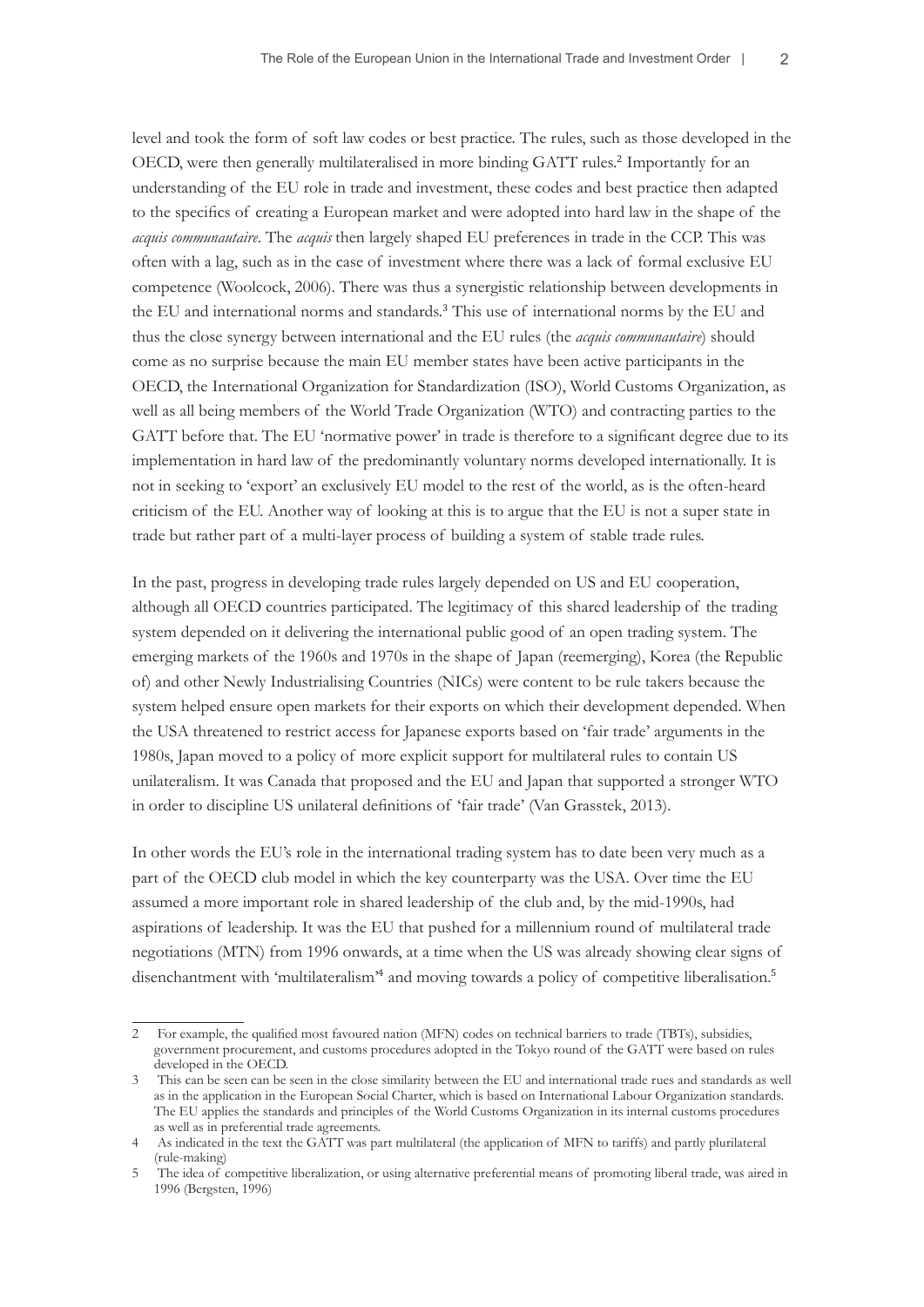level and took the form of soft law codes or best practice. The rules, such as those developed in the OECD, were then generally multilateralised in more binding GATT rules.<sup>2</sup> Importantly for an understanding of the EU role in trade and investment, these codes and best practice then adapted to the specifics of creating a European market and were adopted into hard law in the shape of the *acquis communautaire*. The *acquis* then largely shaped EU preferences in trade in the CCP. This was often with a lag, such as in the case of investment where there was a lack of formal exclusive EU competence (Woolcock, 2006). There was thus a synergistic relationship between developments in the EU and international norms and standards.<sup>3</sup> This use of international norms by the EU and thus the close synergy between international and the EU rules (the *acquis communautaire*) should come as no surprise because the main EU member states have been active participants in the OECD, the International Organization for Standardization (ISO), World Customs Organization, as well as all being members of the World Trade Organization (WTO) and contracting parties to the GATT before that. The EU 'normative power' in trade is therefore to a significant degree due to its implementation in hard law of the predominantly voluntary norms developed internationally. It is not in seeking to 'export' an exclusively EU model to the rest of the world, as is the often-heard criticism of the EU. Another way of looking at this is to argue that the EU is not a super state in trade but rather part of a multi-layer process of building a system of stable trade rules.

In the past, progress in developing trade rules largely depended on US and EU cooperation, although all OECD countries participated. The legitimacy of this shared leadership of the trading system depended on it delivering the international public good of an open trading system. The emerging markets of the 1960s and 1970s in the shape of Japan (reemerging), Korea (the Republic of) and other Newly Industrialising Countries (NICs) were content to be rule takers because the system helped ensure open markets for their exports on which their development depended. When the USA threatened to restrict access for Japanese exports based on 'fair trade' arguments in the 1980s, Japan moved to a policy of more explicit support for multilateral rules to contain US unilateralism. It was Canada that proposed and the EU and Japan that supported a stronger WTO in order to discipline US unilateral definitions of 'fair trade' (Van Grasstek, 2013).

In other words the EU's role in the international trading system has to date been very much as a part of the OECD club model in which the key counterparty was the USA. Over time the EU assumed a more important role in shared leadership of the club and, by the mid-1990s, had aspirations of leadership. It was the EU that pushed for a millennium round of multilateral trade negotiations (MTN) from 1996 onwards, at a time when the US was already showing clear signs of disenchantment with 'multilateralism'<sup>4</sup> and moving towards a policy of competitive liberalisation.<sup>5</sup>

<sup>2</sup> For example, the qualified most favoured nation (MFN) codes on technical barriers to trade (TBTs), subsidies, government procurement, and customs procedures adopted in the Tokyo round of the GATT were based on rules developed in the OECD.

<sup>3</sup> This can be seen can be seen in the close similarity between the EU and international trade rues and standards as well as in the application in the European Social Charter, which is based on International Labour Organization standards. The EU applies the standards and principles of the World Customs Organization in its internal customs procedures as well as in preferential trade agreements.

<sup>4</sup> As indicated in the text the GATT was part multilateral (the application of MFN to tariffs) and partly plurilateral (rule-making)

<sup>5</sup> The idea of competitive liberalization, or using alternative preferential means of promoting liberal trade, was aired in 1996 (Bergsten, 1996)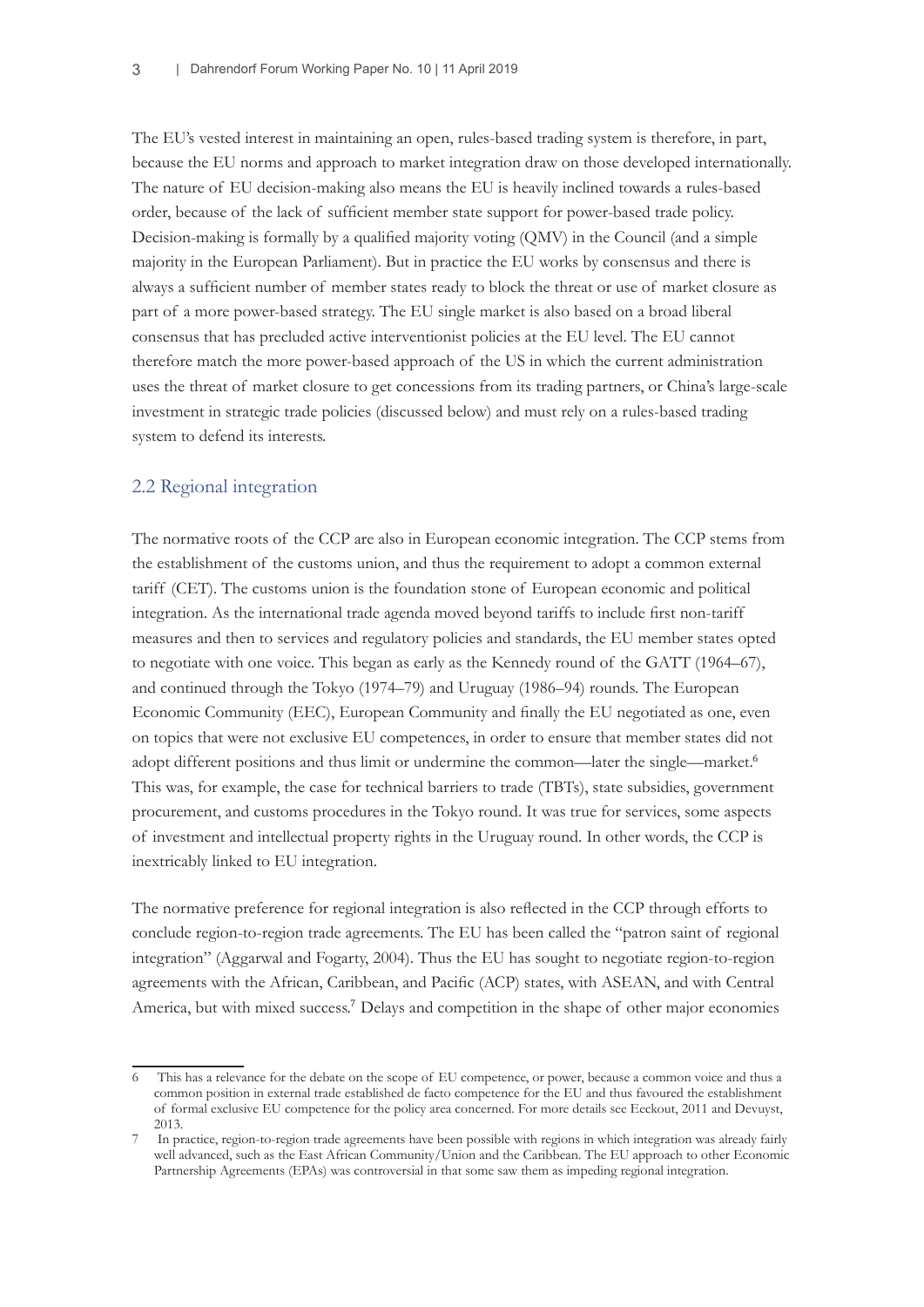The EU's vested interest in maintaining an open, rules-based trading system is therefore, in part, because the EU norms and approach to market integration draw on those developed internationally. The nature of EU decision-making also means the EU is heavily inclined towards a rules-based order, because of the lack of sufficient member state support for power-based trade policy. Decision-making is formally by a qualified majority voting (QMV) in the Council (and a simple majority in the European Parliament). But in practice the EU works by consensus and there is always a sufficient number of member states ready to block the threat or use of market closure as part of a more power-based strategy. The EU single market is also based on a broad liberal consensus that has precluded active interventionist policies at the EU level. The EU cannot therefore match the more power-based approach of the US in which the current administration uses the threat of market closure to get concessions from its trading partners, or China's large-scale investment in strategic trade policies (discussed below) and must rely on a rules-based trading system to defend its interests.

#### 2.2 Regional integration

The normative roots of the CCP are also in European economic integration. The CCP stems from the establishment of the customs union, and thus the requirement to adopt a common external tariff (CET). The customs union is the foundation stone of European economic and political integration. As the international trade agenda moved beyond tariffs to include first non-tariff measures and then to services and regulatory policies and standards, the EU member states opted to negotiate with one voice. This began as early as the Kennedy round of the GATT (1964–67), and continued through the Tokyo (1974–79) and Uruguay (1986–94) rounds. The European Economic Community (EEC), European Community and finally the EU negotiated as one, even on topics that were not exclusive EU competences, in order to ensure that member states did not adopt different positions and thus limit or undermine the common—later the single—market.<sup>6</sup> This was, for example, the case for technical barriers to trade (TBTs), state subsidies, government procurement, and customs procedures in the Tokyo round. It was true for services, some aspects of investment and intellectual property rights in the Uruguay round. In other words, the CCP is inextricably linked to EU integration.

The normative preference for regional integration is also reflected in the CCP through efforts to conclude region-to-region trade agreements. The EU has been called the "patron saint of regional integration" (Aggarwal and Fogarty, 2004). Thus the EU has sought to negotiate region-to-region agreements with the African, Caribbean, and Pacific (ACP) states, with ASEAN, and with Central America, but with mixed success.<sup>7</sup> Delays and competition in the shape of other major economies

This has a relevance for the debate on the scope of EU competence, or power, because a common voice and thus a common position in external trade established de facto competence for the EU and thus favoured the establishment of formal exclusive EU competence for the policy area concerned. For more details see Eeckout, 2011 and Devuyst, 2013.

In practice, region-to-region trade agreements have been possible with regions in which integration was already fairly well advanced, such as the East African Community/Union and the Caribbean. The EU approach to other Economic Partnership Agreements (EPAs) was controversial in that some saw them as impeding regional integration.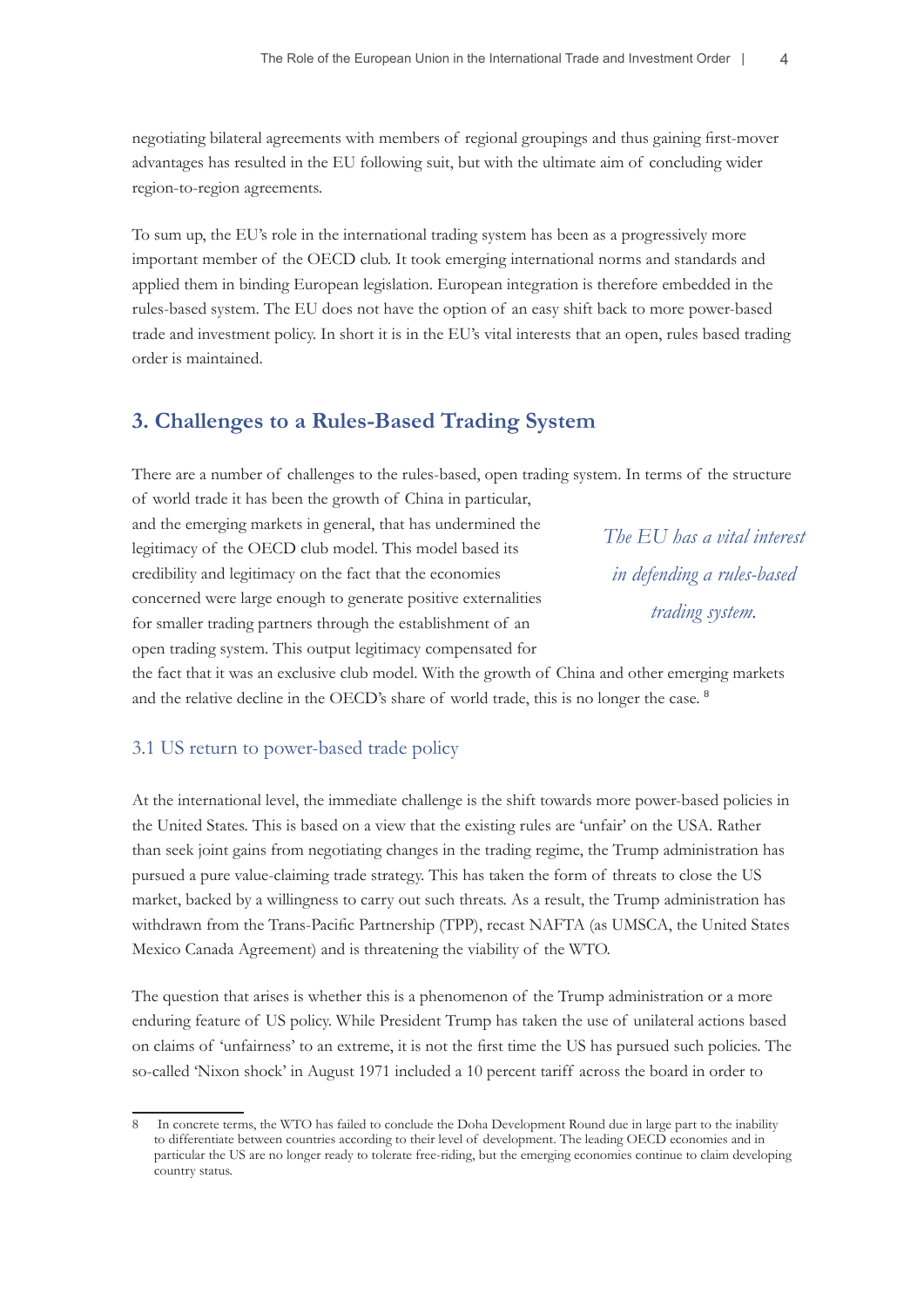negotiating bilateral agreements with members of regional groupings and thus gaining first-mover advantages has resulted in the EU following suit, but with the ultimate aim of concluding wider region-to-region agreements.

To sum up, the EU's role in the international trading system has been as a progressively more important member of the OECD club. It took emerging international norms and standards and applied them in binding European legislation. European integration is therefore embedded in the rules-based system. The EU does not have the option of an easy shift back to more power-based trade and investment policy. In short it is in the EU's vital interests that an open, rules based trading order is maintained.

## **3. Challenges to a Rules-Based Trading System**

There are a number of challenges to the rules-based, open trading system. In terms of the structure of world trade it has been the growth of China in particular,

and the emerging markets in general, that has undermined the legitimacy of the OECD club model. This model based its credibility and legitimacy on the fact that the economies concerned were large enough to generate positive externalities for smaller trading partners through the establishment of an open trading system. This output legitimacy compensated for

*The EU has a vital interest in defending a rules-based trading system.*

the fact that it was an exclusive club model. With the growth of China and other emerging markets and the relative decline in the OECD's share of world trade, this is no longer the case. <sup>8</sup>

#### 3.1 US return to power-based trade policy

At the international level, the immediate challenge is the shift towards more power-based policies in the United States. This is based on a view that the existing rules are 'unfair' on the USA. Rather than seek joint gains from negotiating changes in the trading regime, the Trump administration has pursued a pure value-claiming trade strategy. This has taken the form of threats to close the US market, backed by a willingness to carry out such threats. As a result, the Trump administration has withdrawn from the Trans-Pacific Partnership (TPP), recast NAFTA (as UMSCA, the United States Mexico Canada Agreement) and is threatening the viability of the WTO.

The question that arises is whether this is a phenomenon of the Trump administration or a more enduring feature of US policy. While President Trump has taken the use of unilateral actions based on claims of 'unfairness' to an extreme, it is not the first time the US has pursued such policies. The so-called 'Nixon shock' in August 1971 included a 10 percent tariff across the board in order to

In concrete terms, the WTO has failed to conclude the Doha Development Round due in large part to the inability to differentiate between countries according to their level of development. The leading OECD economies and in particular the US are no longer ready to tolerate free-riding, but the emerging economies continue to claim developing country status.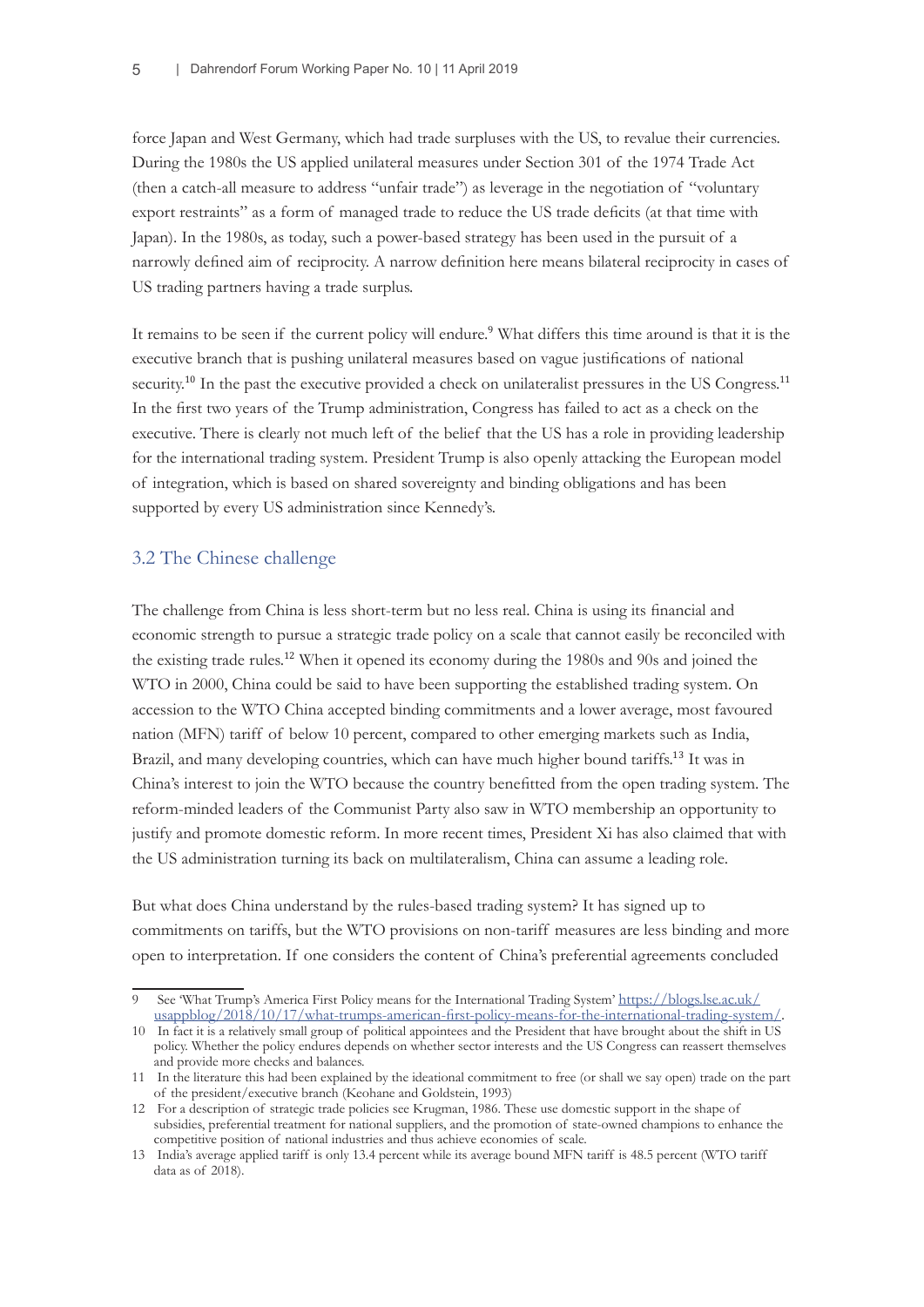force Japan and West Germany, which had trade surpluses with the US, to revalue their currencies. During the 1980s the US applied unilateral measures under Section 301 of the 1974 Trade Act (then a catch-all measure to address "unfair trade") as leverage in the negotiation of "voluntary export restraints" as a form of managed trade to reduce the US trade deficits (at that time with Japan). In the 1980s, as today, such a power-based strategy has been used in the pursuit of a narrowly defined aim of reciprocity. A narrow definition here means bilateral reciprocity in cases of US trading partners having a trade surplus.

It remains to be seen if the current policy will endure.<sup>9</sup> What differs this time around is that it is the executive branch that is pushing unilateral measures based on vague justifications of national security.<sup>10</sup> In the past the executive provided a check on unilateralist pressures in the US Congress.<sup>11</sup> In the first two years of the Trump administration, Congress has failed to act as a check on the executive. There is clearly not much left of the belief that the US has a role in providing leadership for the international trading system. President Trump is also openly attacking the European model of integration, which is based on shared sovereignty and binding obligations and has been supported by every US administration since Kennedy's.

### 3.2 The Chinese challenge

The challenge from China is less short-term but no less real. China is using its financial and economic strength to pursue a strategic trade policy on a scale that cannot easily be reconciled with the existing trade rules.12 When it opened its economy during the 1980s and 90s and joined the WTO in 2000, China could be said to have been supporting the established trading system. On accession to the WTO China accepted binding commitments and a lower average, most favoured nation (MFN) tariff of below 10 percent, compared to other emerging markets such as India, Brazil, and many developing countries, which can have much higher bound tariffs.<sup>13</sup> It was in China's interest to join the WTO because the country benefitted from the open trading system. The reform-minded leaders of the Communist Party also saw in WTO membership an opportunity to justify and promote domestic reform. In more recent times, President Xi has also claimed that with the US administration turning its back on multilateralism, China can assume a leading role.

But what does China understand by the rules-based trading system? It has signed up to commitments on tariffs, but the WTO provisions on non-tariff measures are less binding and more open to interpretation. If one considers the content of China's preferential agreements concluded

<sup>9</sup> See 'What Trump's America First Policy means for the International Trading System' [https://blogs.lse.ac.uk/](https://blogs.lse.ac.uk/usappblog/2018/10/17/what-trumps-american-first-policy-means-for-the-international-trading-system/) [usappblog/2018/10/17/what-trumps-american-first-policy-means-for-the-international-trading-system/](https://blogs.lse.ac.uk/usappblog/2018/10/17/what-trumps-american-first-policy-means-for-the-international-trading-system/).

<sup>10</sup> In fact it is a relatively small group of political appointees and the President that have brought about the shift in US policy. Whether the policy endures depends on whether sector interests and the US Congress can reassert themselves and provide more checks and balances.

<sup>11</sup> In the literature this had been explained by the ideational commitment to free (or shall we say open) trade on the part of the president/executive branch (Keohane and Goldstein, 1993)

<sup>12</sup> For a description of strategic trade policies see Krugman, 1986. These use domestic support in the shape of subsidies, preferential treatment for national suppliers, and the promotion of state-owned champions to enhance the competitive position of national industries and thus achieve economies of scale.

<sup>13</sup> India's average applied tariff is only 13.4 percent while its average bound MFN tariff is 48.5 percent (WTO tariff data as of 2018).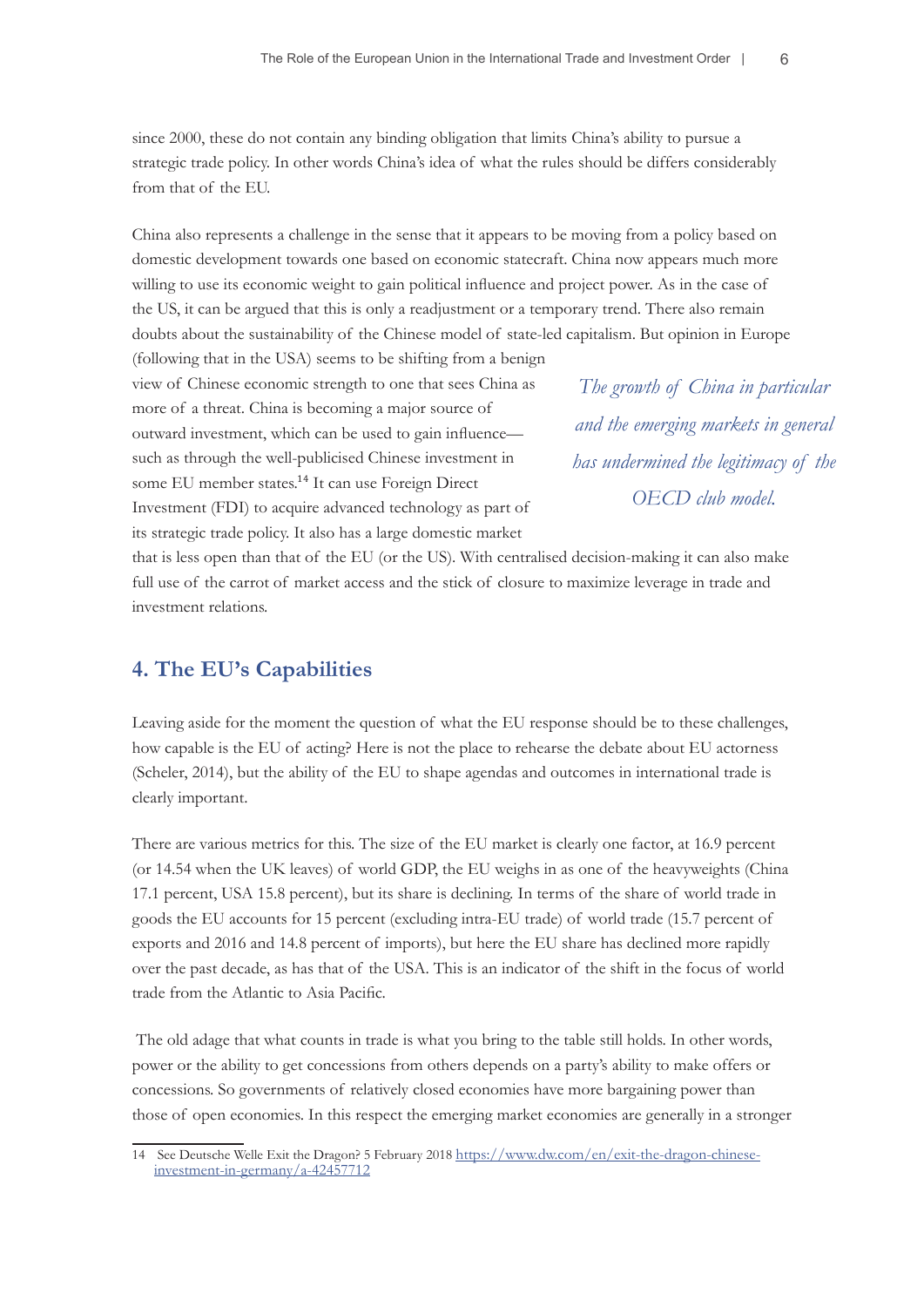since 2000, these do not contain any binding obligation that limits China's ability to pursue a strategic trade policy. In other words China's idea of what the rules should be differs considerably from that of the EU.

China also represents a challenge in the sense that it appears to be moving from a policy based on domestic development towards one based on economic statecraft. China now appears much more willing to use its economic weight to gain political influence and project power. As in the case of the US, it can be argued that this is only a readjustment or a temporary trend. There also remain doubts about the sustainability of the Chinese model of state-led capitalism. But opinion in Europe

(following that in the USA) seems to be shifting from a benign view of Chinese economic strength to one that sees China as more of a threat. China is becoming a major source of outward investment, which can be used to gain influence such as through the well-publicised Chinese investment in some EU member states.<sup>14</sup> It can use Foreign Direct Investment (FDI) to acquire advanced technology as part of its strategic trade policy. It also has a large domestic market

*The growth of China in particular and the emerging markets in general has undermined the legitimacy of the OECD club model.*

that is less open than that of the EU (or the US). With centralised decision-making it can also make full use of the carrot of market access and the stick of closure to maximize leverage in trade and investment relations.

## **4. The EU's Capabilities**

Leaving aside for the moment the question of what the EU response should be to these challenges, how capable is the EU of acting? Here is not the place to rehearse the debate about EU actorness (Scheler, 2014), but the ability of the EU to shape agendas and outcomes in international trade is clearly important.

There are various metrics for this. The size of the EU market is clearly one factor, at 16.9 percent (or 14.54 when the UK leaves) of world GDP, the EU weighs in as one of the heavyweights (China 17.1 percent, USA 15.8 percent), but its share is declining. In terms of the share of world trade in goods the EU accounts for 15 percent (excluding intra-EU trade) of world trade (15.7 percent of exports and 2016 and 14.8 percent of imports), but here the EU share has declined more rapidly over the past decade, as has that of the USA. This is an indicator of the shift in the focus of world trade from the Atlantic to Asia Pacific.

 The old adage that what counts in trade is what you bring to the table still holds. In other words, power or the ability to get concessions from others depends on a party's ability to make offers or concessions. So governments of relatively closed economies have more bargaining power than those of open economies. In this respect the emerging market economies are generally in a stronger

<sup>14</sup> See Deutsche Welle Exit the Dragon? 5 February 2018 [https://www.dw.com/en/exit-the-dragon-chinese](https://www.dw.com/en/exit-the-dragon-chinese-investment-in-germany/a-42457712)[investment-in-germany/a-42457712](https://www.dw.com/en/exit-the-dragon-chinese-investment-in-germany/a-42457712)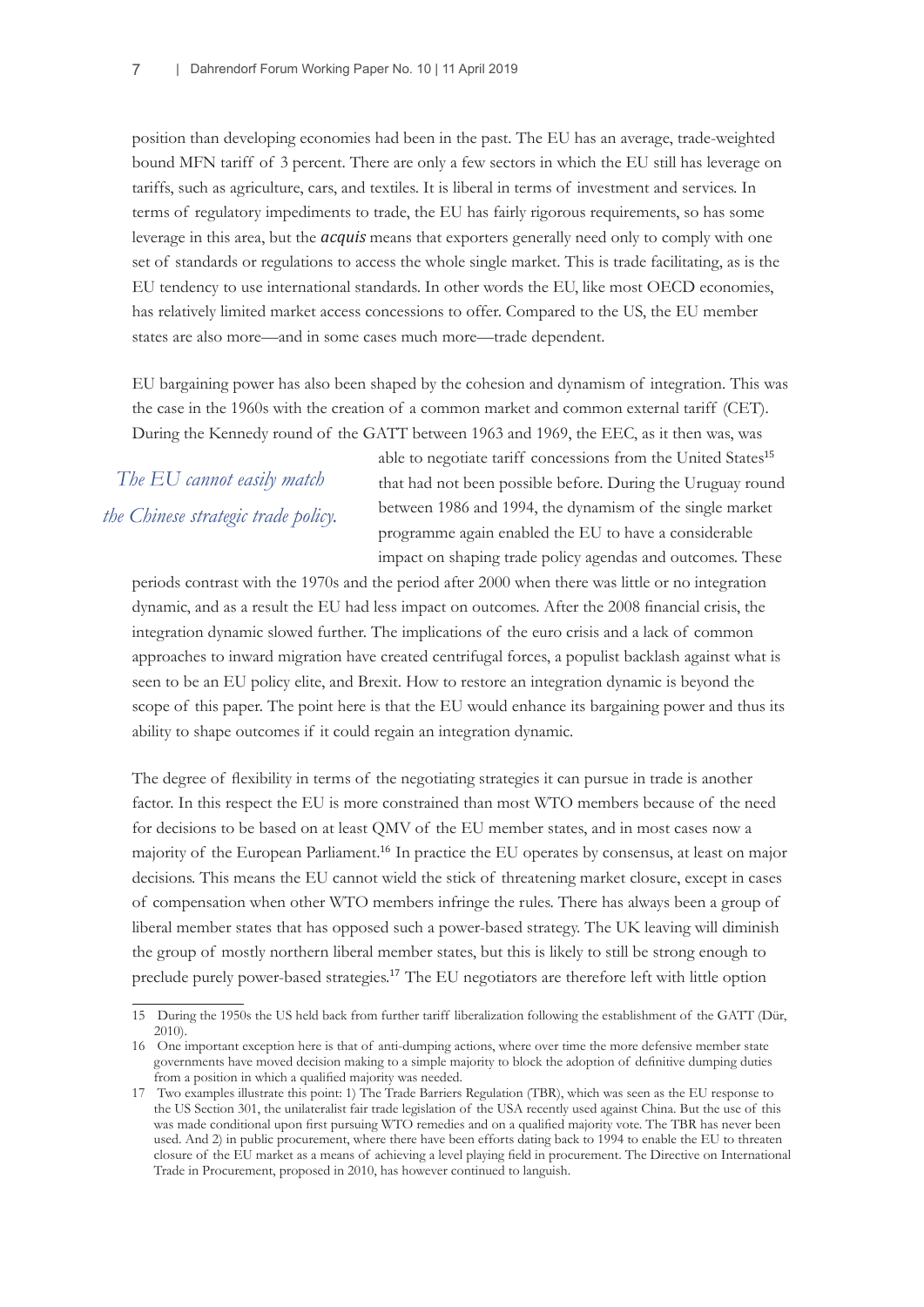position than developing economies had been in the past. The EU has an average, trade-weighted bound MFN tariff of 3 percent. There are only a few sectors in which the EU still has leverage on tariffs, such as agriculture, cars, and textiles. It is liberal in terms of investment and services. In terms of regulatory impediments to trade, the EU has fairly rigorous requirements, so has some leverage in this area, but the *acquis* means that exporters generally need only to comply with one set of standards or regulations to access the whole single market. This is trade facilitating, as is the EU tendency to use international standards. In other words the EU, like most OECD economies, has relatively limited market access concessions to offer. Compared to the US, the EU member states are also more—and in some cases much more—trade dependent.

EU bargaining power has also been shaped by the cohesion and dynamism of integration. This was the case in the 1960s with the creation of a common market and common external tariff (CET). During the Kennedy round of the GATT between 1963 and 1969, the EEC, as it then was, was

*The EU cannot easily match the Chinese strategic trade policy.*

able to negotiate tariff concessions from the United States<sup>15</sup> that had not been possible before. During the Uruguay round between 1986 and 1994, the dynamism of the single market programme again enabled the EU to have a considerable impact on shaping trade policy agendas and outcomes. These

periods contrast with the 1970s and the period after 2000 when there was little or no integration dynamic, and as a result the EU had less impact on outcomes. After the 2008 financial crisis, the integration dynamic slowed further. The implications of the euro crisis and a lack of common approaches to inward migration have created centrifugal forces, a populist backlash against what is seen to be an EU policy elite, and Brexit. How to restore an integration dynamic is beyond the scope of this paper. The point here is that the EU would enhance its bargaining power and thus its ability to shape outcomes if it could regain an integration dynamic.

The degree of flexibility in terms of the negotiating strategies it can pursue in trade is another factor. In this respect the EU is more constrained than most WTO members because of the need for decisions to be based on at least QMV of the EU member states, and in most cases now a majority of the European Parliament.<sup>16</sup> In practice the EU operates by consensus, at least on major decisions. This means the EU cannot wield the stick of threatening market closure, except in cases of compensation when other WTO members infringe the rules. There has always been a group of liberal member states that has opposed such a power-based strategy. The UK leaving will diminish the group of mostly northern liberal member states, but this is likely to still be strong enough to preclude purely power-based strategies.17 The EU negotiators are therefore left with little option

<sup>15</sup> During the 1950s the US held back from further tariff liberalization following the establishment of the GATT (Dür, 2010).

<sup>16</sup> One important exception here is that of anti-dumping actions, where over time the more defensive member state governments have moved decision making to a simple majority to block the adoption of definitive dumping duties from a position in which a qualified majority was needed.

<sup>17</sup> Two examples illustrate this point: 1) The Trade Barriers Regulation (TBR), which was seen as the EU response to the US Section 301, the unilateralist fair trade legislation of the USA recently used against China. But the use of this was made conditional upon first pursuing WTO remedies and on a qualified majority vote. The TBR has never been used. And 2) in public procurement, where there have been efforts dating back to 1994 to enable the EU to threaten closure of the EU market as a means of achieving a level playing field in procurement. The Directive on International Trade in Procurement, proposed in 2010, has however continued to languish.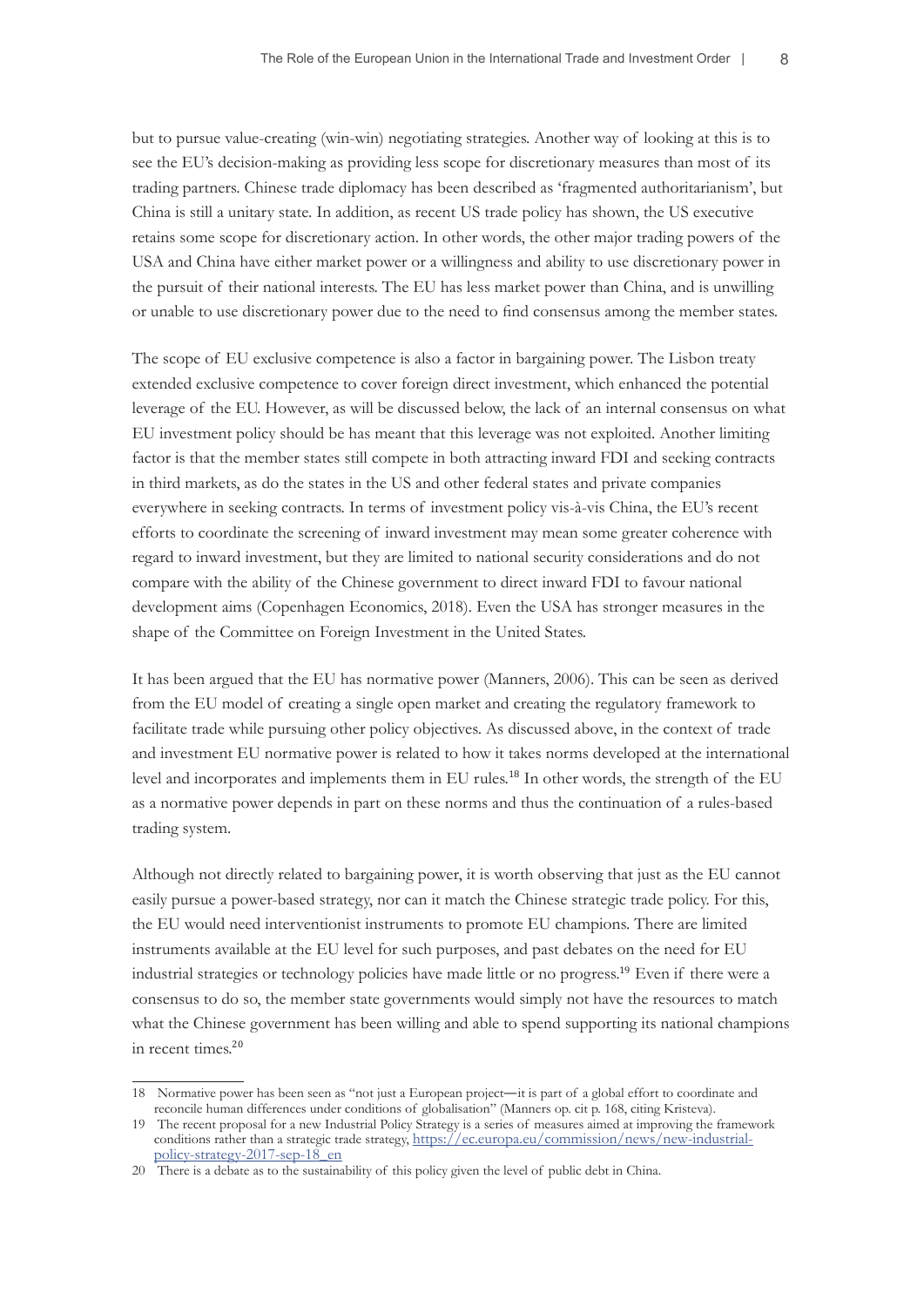but to pursue value-creating (win-win) negotiating strategies. Another way of looking at this is to see the EU's decision-making as providing less scope for discretionary measures than most of its trading partners. Chinese trade diplomacy has been described as 'fragmented authoritarianism', but China is still a unitary state. In addition, as recent US trade policy has shown, the US executive retains some scope for discretionary action. In other words, the other major trading powers of the USA and China have either market power or a willingness and ability to use discretionary power in the pursuit of their national interests. The EU has less market power than China, and is unwilling or unable to use discretionary power due to the need to find consensus among the member states.

The scope of EU exclusive competence is also a factor in bargaining power. The Lisbon treaty extended exclusive competence to cover foreign direct investment, which enhanced the potential leverage of the EU. However, as will be discussed below, the lack of an internal consensus on what EU investment policy should be has meant that this leverage was not exploited. Another limiting factor is that the member states still compete in both attracting inward FDI and seeking contracts in third markets, as do the states in the US and other federal states and private companies everywhere in seeking contracts. In terms of investment policy vis-à-vis China, the EU's recent efforts to coordinate the screening of inward investment may mean some greater coherence with regard to inward investment, but they are limited to national security considerations and do not compare with the ability of the Chinese government to direct inward FDI to favour national development aims (Copenhagen Economics, 2018). Even the USA has stronger measures in the shape of the Committee on Foreign Investment in the United States.

It has been argued that the EU has normative power (Manners, 2006). This can be seen as derived from the EU model of creating a single open market and creating the regulatory framework to facilitate trade while pursuing other policy objectives. As discussed above, in the context of trade and investment EU normative power is related to how it takes norms developed at the international level and incorporates and implements them in EU rules.18 In other words, the strength of the EU as a normative power depends in part on these norms and thus the continuation of a rules-based trading system.

Although not directly related to bargaining power, it is worth observing that just as the EU cannot easily pursue a power-based strategy, nor can it match the Chinese strategic trade policy. For this, the EU would need interventionist instruments to promote EU champions. There are limited instruments available at the EU level for such purposes, and past debates on the need for EU industrial strategies or technology policies have made little or no progress.19 Even if there were a consensus to do so, the member state governments would simply not have the resources to match what the Chinese government has been willing and able to spend supporting its national champions in recent times.<sup>20</sup>

<sup>18</sup> Normative power has been seen as "not just a European project—it is part of a global effort to coordinate and reconcile human differences under conditions of globalisation" (Manners op. cit p. 168, citing Kristeva).

<sup>19</sup> The recent proposal for a new Industrial Policy Strategy is a series of measures aimed at improving the framework conditions rather than a strategic trade strategy, [https://ec.europa.eu/commission/news/new-industrial](https://ec.europa.eu/commission/news/new-industrial-policy-strategy-2017-sep-18_en)policy-strategy-2017-sep-18 en

<sup>20</sup> There is a debate as to the sustainability of this policy given the level of public debt in China.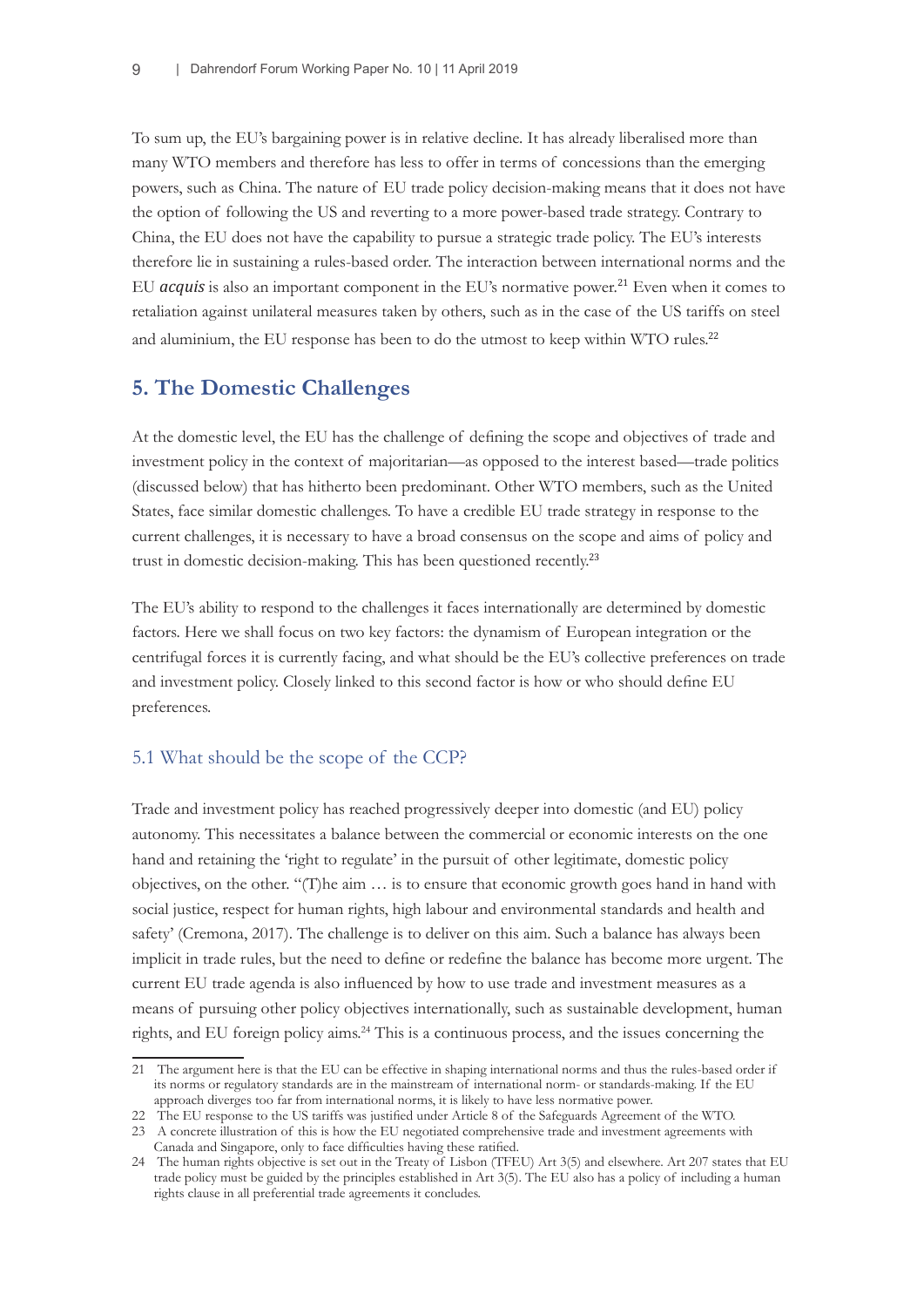To sum up, the EU's bargaining power is in relative decline. It has already liberalised more than many WTO members and therefore has less to offer in terms of concessions than the emerging powers, such as China. The nature of EU trade policy decision-making means that it does not have the option of following the US and reverting to a more power-based trade strategy. Contrary to China, the EU does not have the capability to pursue a strategic trade policy. The EU's interests therefore lie in sustaining a rules-based order. The interaction between international norms and the EU *acquis* is also an important component in the EU's normative power.<sup>21</sup> Even when it comes to retaliation against unilateral measures taken by others, such as in the case of the US tariffs on steel and aluminium, the EU response has been to do the utmost to keep within WTO rules.<sup>22</sup>

## **5. The Domestic Challenges**

At the domestic level, the EU has the challenge of defining the scope and objectives of trade and investment policy in the context of majoritarian—as opposed to the interest based—trade politics (discussed below) that has hitherto been predominant. Other WTO members, such as the United States, face similar domestic challenges. To have a credible EU trade strategy in response to the current challenges, it is necessary to have a broad consensus on the scope and aims of policy and trust in domestic decision-making. This has been questioned recently.<sup>23</sup>

The EU's ability to respond to the challenges it faces internationally are determined by domestic factors. Here we shall focus on two key factors: the dynamism of European integration or the centrifugal forces it is currently facing, and what should be the EU's collective preferences on trade and investment policy. Closely linked to this second factor is how or who should define EU preferences.

## 5.1 What should be the scope of the CCP?

Trade and investment policy has reached progressively deeper into domestic (and EU) policy autonomy. This necessitates a balance between the commercial or economic interests on the one hand and retaining the 'right to regulate' in the pursuit of other legitimate, domestic policy objectives, on the other. "(T)he aim … is to ensure that economic growth goes hand in hand with social justice, respect for human rights, high labour and environmental standards and health and safety' (Cremona, 2017). The challenge is to deliver on this aim. Such a balance has always been implicit in trade rules, but the need to define or redefine the balance has become more urgent. The current EU trade agenda is also influenced by how to use trade and investment measures as a means of pursuing other policy objectives internationally, such as sustainable development, human rights, and EU foreign policy aims.<sup>24</sup> This is a continuous process, and the issues concerning the

<sup>21</sup> The argument here is that the EU can be effective in shaping international norms and thus the rules-based order if its norms or regulatory standards are in the mainstream of international norm- or standards-making. If the EU approach diverges too far from international norms, it is likely to have less normative power.

<sup>22</sup> The EU response to the US tariffs was justified under Article 8 of the Safeguards Agreement of the WTO.

<sup>23</sup> A concrete illustration of this is how the EU negotiated comprehensive trade and investment agreements with Canada and Singapore, only to face difficulties having these ratified.

<sup>24</sup> The human rights objective is set out in the Treaty of Lisbon (TFEU) Art 3(5) and elsewhere. Art 207 states that EU trade policy must be guided by the principles established in Art 3(5). The EU also has a policy of including a human rights clause in all preferential trade agreements it concludes.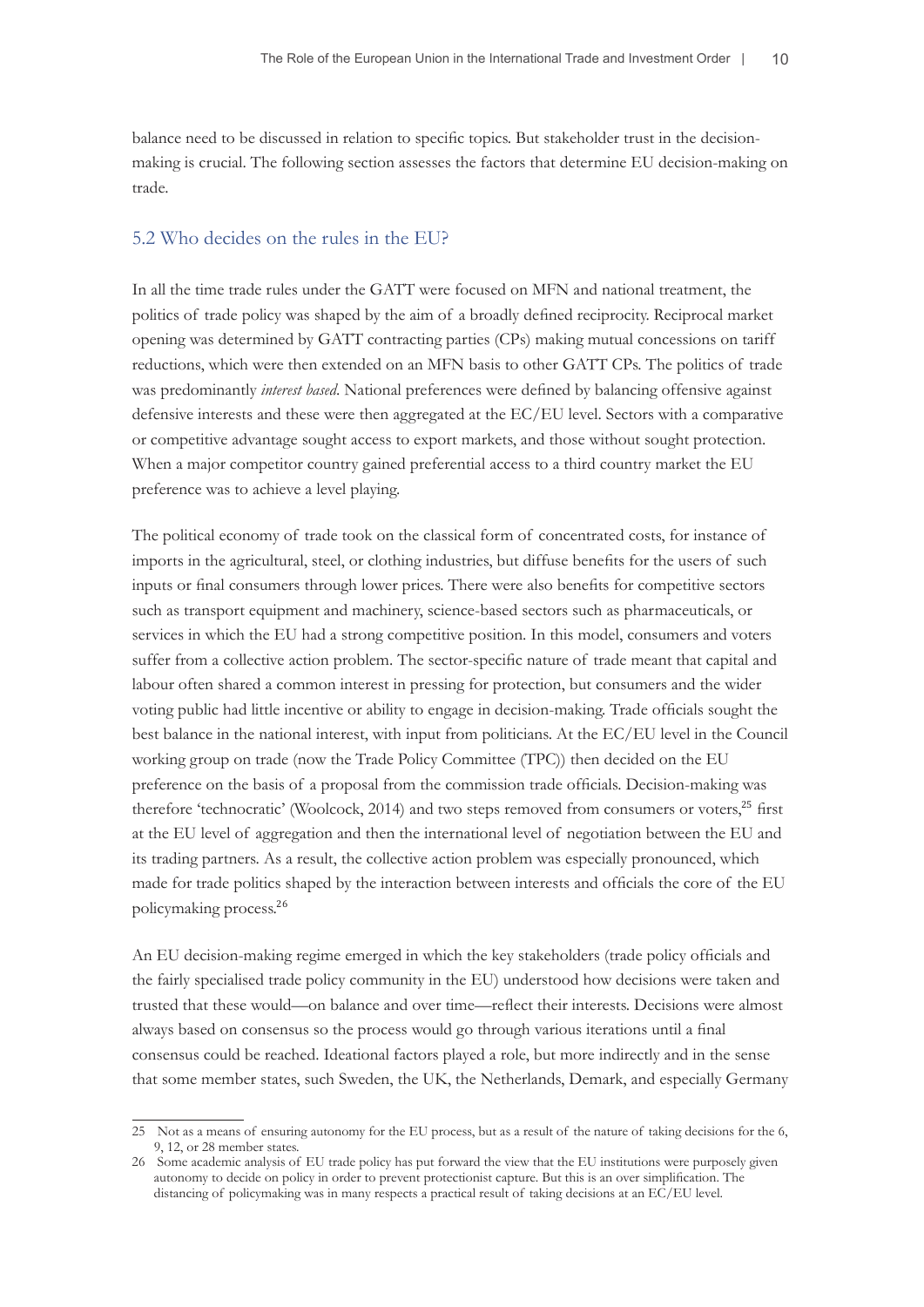balance need to be discussed in relation to specific topics. But stakeholder trust in the decisionmaking is crucial. The following section assesses the factors that determine EU decision-making on trade.

#### 5.2 Who decides on the rules in the EU?

In all the time trade rules under the GATT were focused on MFN and national treatment, the politics of trade policy was shaped by the aim of a broadly defined reciprocity. Reciprocal market opening was determined by GATT contracting parties (CPs) making mutual concessions on tariff reductions, which were then extended on an MFN basis to other GATT CPs. The politics of trade was predominantly *interest based*. National preferences were defined by balancing offensive against defensive interests and these were then aggregated at the EC/EU level. Sectors with a comparative or competitive advantage sought access to export markets, and those without sought protection. When a major competitor country gained preferential access to a third country market the EU preference was to achieve a level playing.

The political economy of trade took on the classical form of concentrated costs, for instance of imports in the agricultural, steel, or clothing industries, but diffuse benefits for the users of such inputs or final consumers through lower prices. There were also benefits for competitive sectors such as transport equipment and machinery, science-based sectors such as pharmaceuticals, or services in which the EU had a strong competitive position. In this model, consumers and voters suffer from a collective action problem. The sector-specific nature of trade meant that capital and labour often shared a common interest in pressing for protection, but consumers and the wider voting public had little incentive or ability to engage in decision-making. Trade officials sought the best balance in the national interest, with input from politicians. At the EC/EU level in the Council working group on trade (now the Trade Policy Committee (TPC)) then decided on the EU preference on the basis of a proposal from the commission trade officials. Decision-making was therefore 'technocratic' (Woolcock, 2014) and two steps removed from consumers or voters,<sup>25</sup> first at the EU level of aggregation and then the international level of negotiation between the EU and its trading partners. As a result, the collective action problem was especially pronounced, which made for trade politics shaped by the interaction between interests and officials the core of the EU policymaking process.<sup>26</sup>

An EU decision-making regime emerged in which the key stakeholders (trade policy officials and the fairly specialised trade policy community in the EU) understood how decisions were taken and trusted that these would—on balance and over time—reflect their interests. Decisions were almost always based on consensus so the process would go through various iterations until a final consensus could be reached. Ideational factors played a role, but more indirectly and in the sense that some member states, such Sweden, the UK, the Netherlands, Demark, and especially Germany

<sup>25</sup> Not as a means of ensuring autonomy for the EU process, but as a result of the nature of taking decisions for the 6, 9, 12, or 28 member states.

<sup>26</sup> Some academic analysis of EU trade policy has put forward the view that the EU institutions were purposely given autonomy to decide on policy in order to prevent protectionist capture. But this is an over simplification. The distancing of policymaking was in many respects a practical result of taking decisions at an EC/EU level.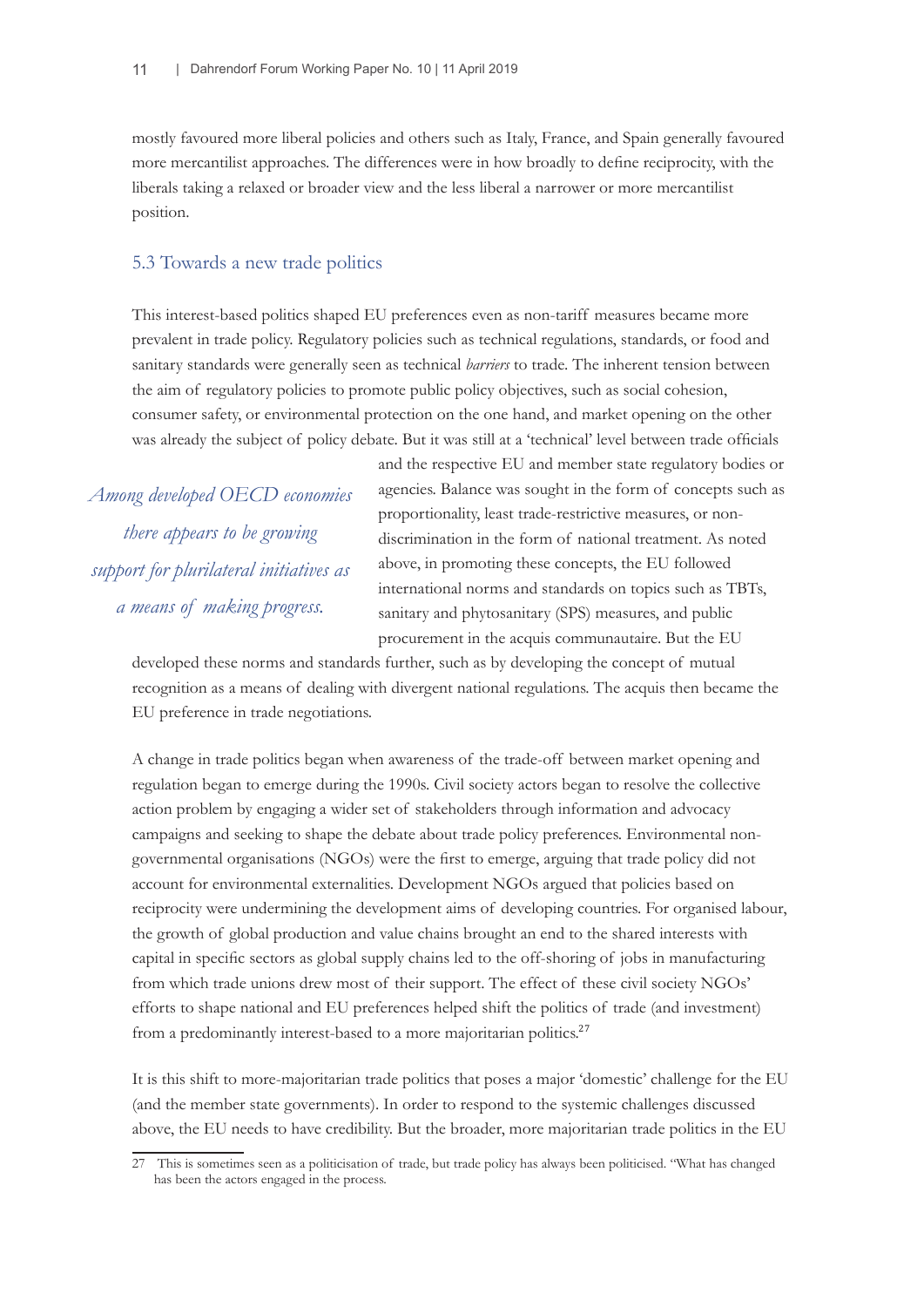mostly favoured more liberal policies and others such as Italy, France, and Spain generally favoured more mercantilist approaches. The differences were in how broadly to define reciprocity, with the liberals taking a relaxed or broader view and the less liberal a narrower or more mercantilist position.

### 5.3 Towards a new trade politics

This interest-based politics shaped EU preferences even as non-tariff measures became more prevalent in trade policy. Regulatory policies such as technical regulations, standards, or food and sanitary standards were generally seen as technical *barriers* to trade. The inherent tension between the aim of regulatory policies to promote public policy objectives, such as social cohesion, consumer safety, or environmental protection on the one hand, and market opening on the other was already the subject of policy debate. But it was still at a 'technical' level between trade officials

*Among developed OECD economies there appears to be growing support for plurilateral initiatives as a means of making progress.*

and the respective EU and member state regulatory bodies or agencies. Balance was sought in the form of concepts such as proportionality, least trade-restrictive measures, or nondiscrimination in the form of national treatment. As noted above, in promoting these concepts, the EU followed international norms and standards on topics such as TBTs, sanitary and phytosanitary (SPS) measures, and public procurement in the acquis communautaire. But the EU

developed these norms and standards further, such as by developing the concept of mutual recognition as a means of dealing with divergent national regulations. The acquis then became the EU preference in trade negotiations.

A change in trade politics began when awareness of the trade-off between market opening and regulation began to emerge during the 1990s. Civil society actors began to resolve the collective action problem by engaging a wider set of stakeholders through information and advocacy campaigns and seeking to shape the debate about trade policy preferences. Environmental nongovernmental organisations (NGOs) were the first to emerge, arguing that trade policy did not account for environmental externalities. Development NGOs argued that policies based on reciprocity were undermining the development aims of developing countries. For organised labour, the growth of global production and value chains brought an end to the shared interests with capital in specific sectors as global supply chains led to the off-shoring of jobs in manufacturing from which trade unions drew most of their support. The effect of these civil society NGOs' efforts to shape national and EU preferences helped shift the politics of trade (and investment) from a predominantly interest-based to a more majoritarian politics.<sup>27</sup>

It is this shift to more-majoritarian trade politics that poses a major 'domestic' challenge for the EU (and the member state governments). In order to respond to the systemic challenges discussed above, the EU needs to have credibility. But the broader, more majoritarian trade politics in the EU

<sup>27</sup> This is sometimes seen as a politicisation of trade, but trade policy has always been politicised. "What has changed has been the actors engaged in the process.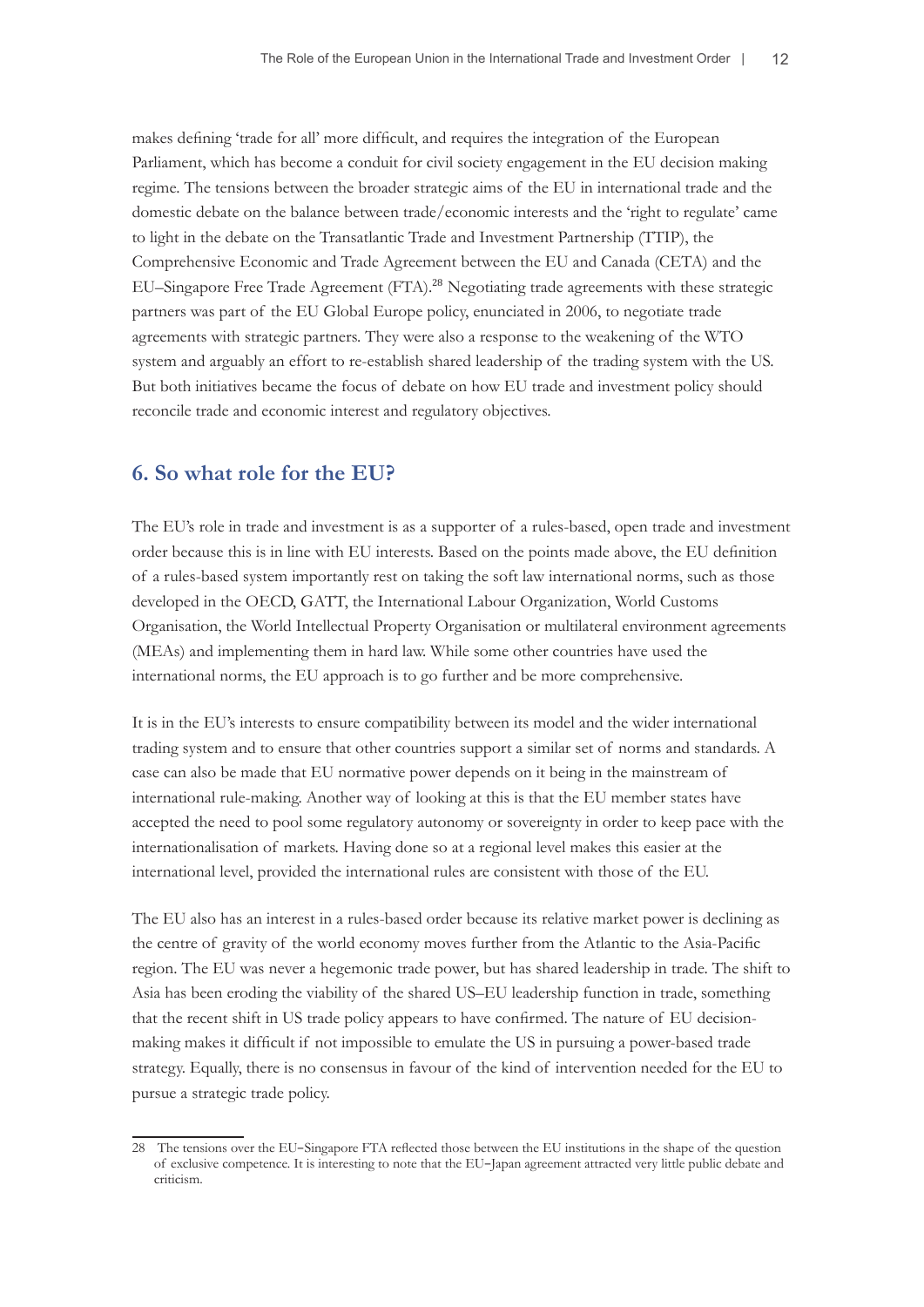makes defining 'trade for all' more difficult, and requires the integration of the European Parliament, which has become a conduit for civil society engagement in the EU decision making regime. The tensions between the broader strategic aims of the EU in international trade and the domestic debate on the balance between trade/economic interests and the 'right to regulate' came to light in the debate on the Transatlantic Trade and Investment Partnership (TTIP), the Comprehensive Economic and Trade Agreement between the EU and Canada (CETA) and the EU–Singapore Free Trade Agreement (FTA).<sup>28</sup> Negotiating trade agreements with these strategic partners was part of the EU Global Europe policy, enunciated in 2006, to negotiate trade agreements with strategic partners. They were also a response to the weakening of the WTO system and arguably an effort to re-establish shared leadership of the trading system with the US. But both initiatives became the focus of debate on how EU trade and investment policy should reconcile trade and economic interest and regulatory objectives.

## **6. So what role for the EU?**

The EU's role in trade and investment is as a supporter of a rules-based, open trade and investment order because this is in line with EU interests. Based on the points made above, the EU definition of a rules-based system importantly rest on taking the soft law international norms, such as those developed in the OECD, GATT, the International Labour Organization, World Customs Organisation, the World Intellectual Property Organisation or multilateral environment agreements (MEAs) and implementing them in hard law. While some other countries have used the international norms, the EU approach is to go further and be more comprehensive.

It is in the EU's interests to ensure compatibility between its model and the wider international trading system and to ensure that other countries support a similar set of norms and standards. A case can also be made that EU normative power depends on it being in the mainstream of international rule-making. Another way of looking at this is that the EU member states have accepted the need to pool some regulatory autonomy or sovereignty in order to keep pace with the internationalisation of markets. Having done so at a regional level makes this easier at the international level, provided the international rules are consistent with those of the EU.

The EU also has an interest in a rules-based order because its relative market power is declining as the centre of gravity of the world economy moves further from the Atlantic to the Asia-Pacific region. The EU was never a hegemonic trade power, but has shared leadership in trade. The shift to Asia has been eroding the viability of the shared US–EU leadership function in trade, something that the recent shift in US trade policy appears to have confirmed. The nature of EU decisionmaking makes it difficult if not impossible to emulate the US in pursuing a power-based trade strategy. Equally, there is no consensus in favour of the kind of intervention needed for the EU to pursue a strategic trade policy.

<sup>28</sup> The tensions over the EU–Singapore FTA reflected those between the EU institutions in the shape of the question of exclusive competence. It is interesting to note that the EU–Japan agreement attracted very little public debate and criticism.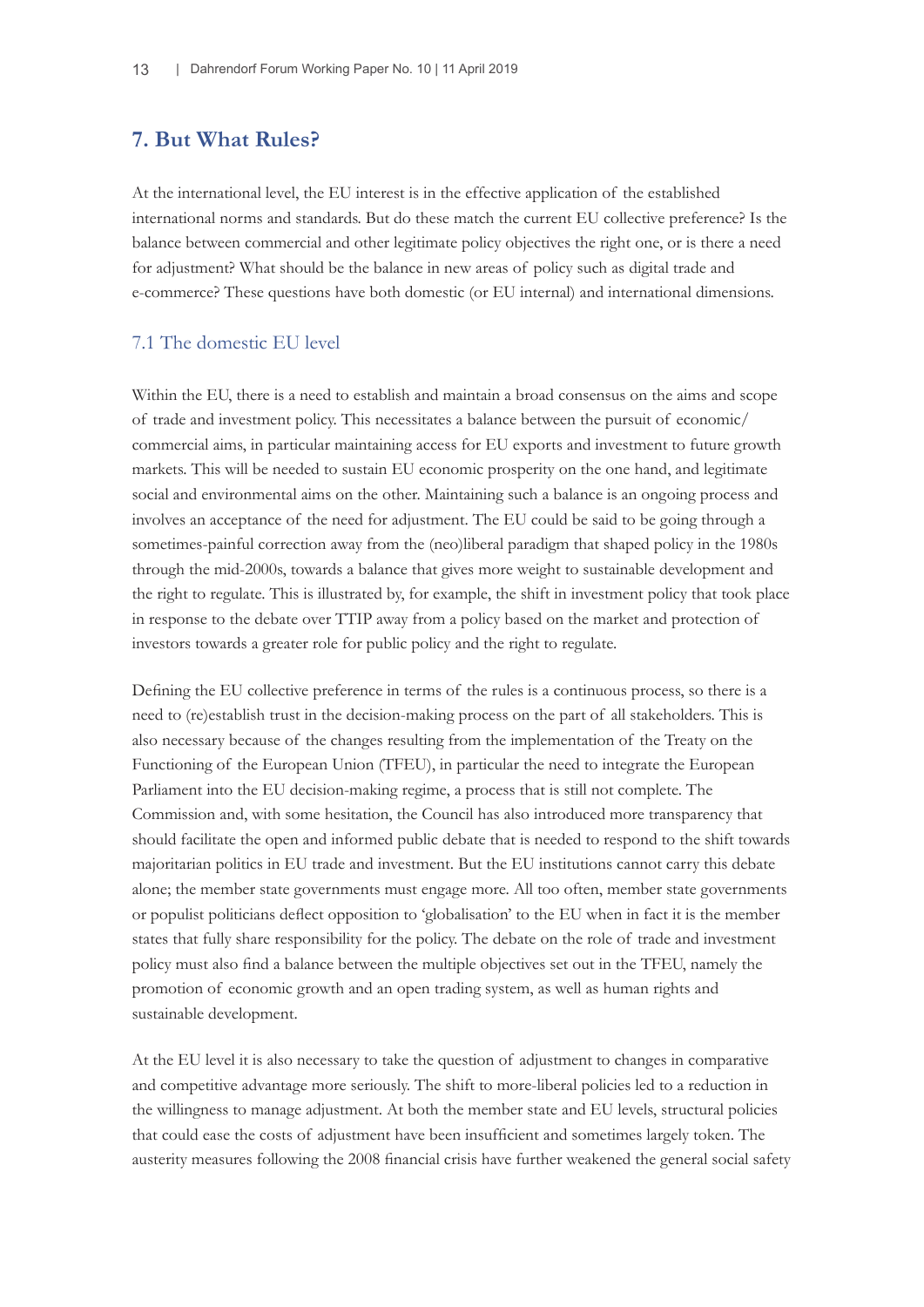## **7. But What Rules?**

At the international level, the EU interest is in the effective application of the established international norms and standards. But do these match the current EU collective preference? Is the balance between commercial and other legitimate policy objectives the right one, or is there a need for adjustment? What should be the balance in new areas of policy such as digital trade and e-commerce? These questions have both domestic (or EU internal) and international dimensions.

#### 7.1 The domestic EU level

Within the EU, there is a need to establish and maintain a broad consensus on the aims and scope of trade and investment policy. This necessitates a balance between the pursuit of economic/ commercial aims, in particular maintaining access for EU exports and investment to future growth markets. This will be needed to sustain EU economic prosperity on the one hand, and legitimate social and environmental aims on the other. Maintaining such a balance is an ongoing process and involves an acceptance of the need for adjustment. The EU could be said to be going through a sometimes-painful correction away from the (neo)liberal paradigm that shaped policy in the 1980s through the mid-2000s, towards a balance that gives more weight to sustainable development and the right to regulate. This is illustrated by, for example, the shift in investment policy that took place in response to the debate over TTIP away from a policy based on the market and protection of investors towards a greater role for public policy and the right to regulate.

Defining the EU collective preference in terms of the rules is a continuous process, so there is a need to (re)establish trust in the decision-making process on the part of all stakeholders. This is also necessary because of the changes resulting from the implementation of the Treaty on the Functioning of the European Union (TFEU), in particular the need to integrate the European Parliament into the EU decision-making regime, a process that is still not complete. The Commission and, with some hesitation, the Council has also introduced more transparency that should facilitate the open and informed public debate that is needed to respond to the shift towards majoritarian politics in EU trade and investment. But the EU institutions cannot carry this debate alone; the member state governments must engage more. All too often, member state governments or populist politicians deflect opposition to 'globalisation' to the EU when in fact it is the member states that fully share responsibility for the policy. The debate on the role of trade and investment policy must also find a balance between the multiple objectives set out in the TFEU, namely the promotion of economic growth and an open trading system, as well as human rights and sustainable development.

At the EU level it is also necessary to take the question of adjustment to changes in comparative and competitive advantage more seriously. The shift to more-liberal policies led to a reduction in the willingness to manage adjustment. At both the member state and EU levels, structural policies that could ease the costs of adjustment have been insufficient and sometimes largely token. The austerity measures following the 2008 financial crisis have further weakened the general social safety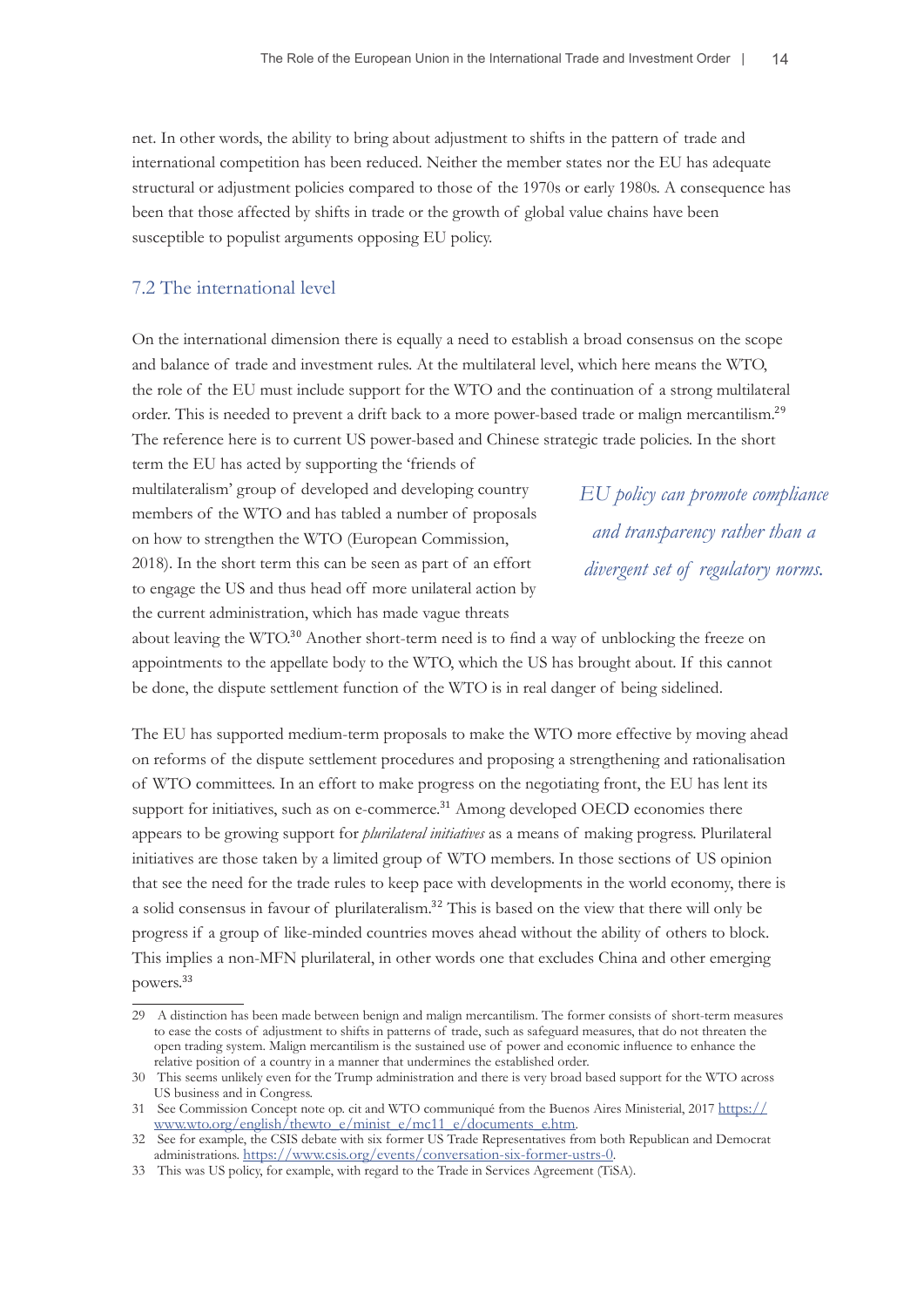net. In other words, the ability to bring about adjustment to shifts in the pattern of trade and international competition has been reduced. Neither the member states nor the EU has adequate structural or adjustment policies compared to those of the 1970s or early 1980s. A consequence has been that those affected by shifts in trade or the growth of global value chains have been susceptible to populist arguments opposing EU policy.

### 7.2 The international level

On the international dimension there is equally a need to establish a broad consensus on the scope and balance of trade and investment rules. At the multilateral level, which here means the WTO, the role of the EU must include support for the WTO and the continuation of a strong multilateral order. This is needed to prevent a drift back to a more power-based trade or malign mercantilism.<sup>29</sup> The reference here is to current US power-based and Chinese strategic trade policies. In the short

term the EU has acted by supporting the 'friends of multilateralism' group of developed and developing country members of the WTO and has tabled a number of proposals on how to strengthen the WTO (European Commission, 2018). In the short term this can be seen as part of an effort to engage the US and thus head off more unilateral action by the current administration, which has made vague threats

*EU policy can promote compliance and transparency rather than a divergent set of regulatory norms.*

about leaving the WTO.<sup>30</sup> Another short-term need is to find a way of unblocking the freeze on appointments to the appellate body to the WTO, which the US has brought about. If this cannot be done, the dispute settlement function of the WTO is in real danger of being sidelined.

The EU has supported medium-term proposals to make the WTO more effective by moving ahead on reforms of the dispute settlement procedures and proposing a strengthening and rationalisation of WTO committees. In an effort to make progress on the negotiating front, the EU has lent its support for initiatives, such as on e-commerce.<sup>31</sup> Among developed OECD economies there appears to be growing support for *plurilateral initiatives* as a means of making progress. Plurilateral initiatives are those taken by a limited group of WTO members. In those sections of US opinion that see the need for the trade rules to keep pace with developments in the world economy, there is a solid consensus in favour of plurilateralism.32 This is based on the view that there will only be progress if a group of like-minded countries moves ahead without the ability of others to block. This implies a non-MFN plurilateral, in other words one that excludes China and other emerging powers.<sup>33</sup>

<sup>29</sup> A distinction has been made between benign and malign mercantilism. The former consists of short-term measures to ease the costs of adjustment to shifts in patterns of trade, such as safeguard measures, that do not threaten the open trading system. Malign mercantilism is the sustained use of power and economic influence to enhance the relative position of a country in a manner that undermines the established order.

<sup>30</sup> This seems unlikely even for the Trump administration and there is very broad based support for the WTO across US business and in Congress.

<sup>31</sup> See Commission Concept note op. cit and WTO communiqué from the Buenos Aires Ministerial, 2017 [https://](https://www.wto.org/english/thewto_e/minist_e/mc11_e/documents_e.htm) [www.wto.org/english/thewto\\_e/minist\\_e/mc11\\_e/documents\\_e.htm.](https://www.wto.org/english/thewto_e/minist_e/mc11_e/documents_e.htm)

<sup>32</sup> See for example, the CSIS debate with six former US Trade Representatives from both Republican and Democrat administrations. <https://www.csis.org/events/conversation-six-former-ustrs-0>.

<sup>33</sup> This was US policy, for example, with regard to the Trade in Services Agreement (TiSA).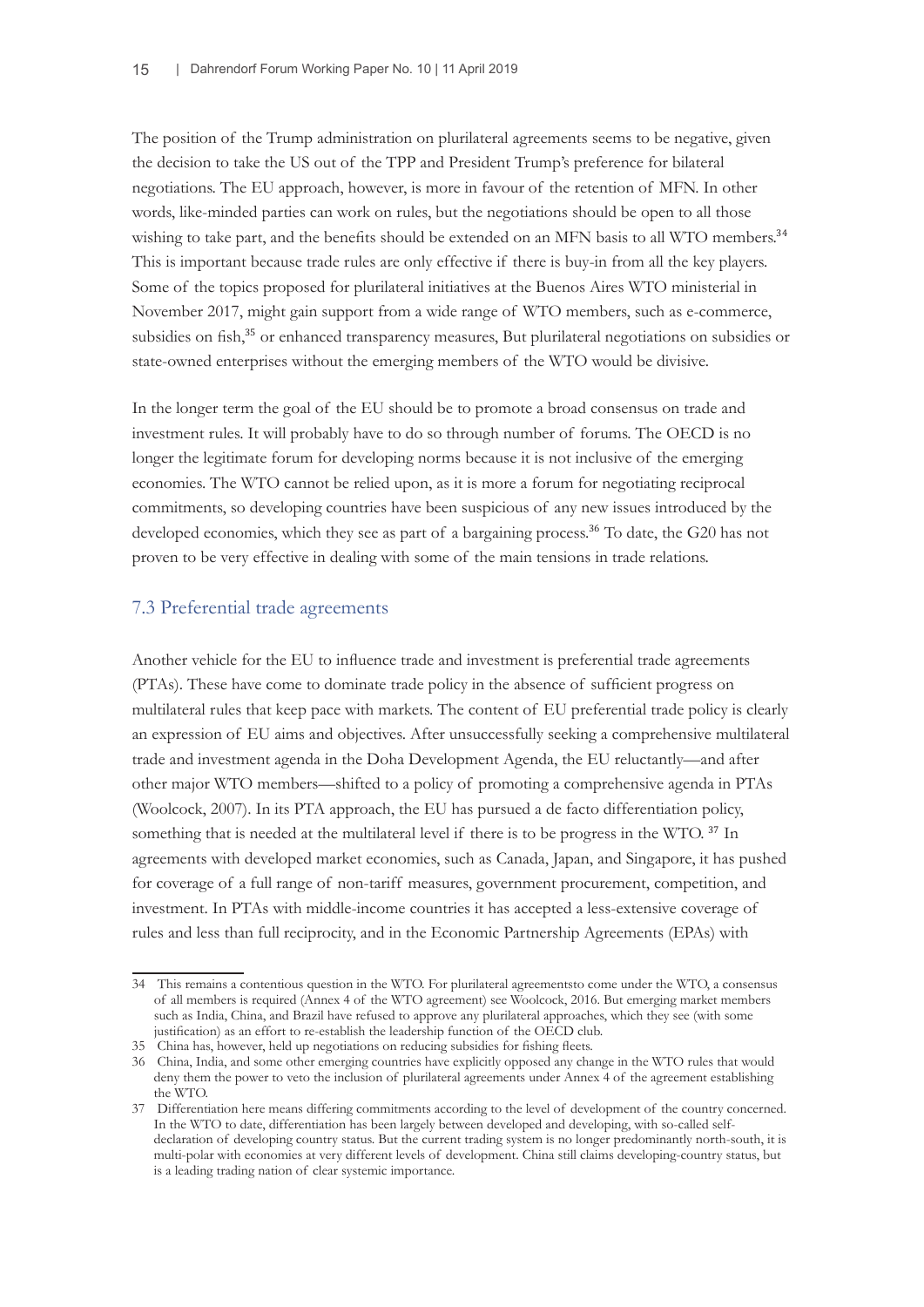The position of the Trump administration on plurilateral agreements seems to be negative, given the decision to take the US out of the TPP and President Trump's preference for bilateral negotiations. The EU approach, however, is more in favour of the retention of MFN. In other words, like-minded parties can work on rules, but the negotiations should be open to all those wishing to take part, and the benefits should be extended on an MFN basis to all WTO members.<sup>34</sup> This is important because trade rules are only effective if there is buy-in from all the key players. Some of the topics proposed for plurilateral initiatives at the Buenos Aires WTO ministerial in November 2017, might gain support from a wide range of WTO members, such as e-commerce, subsidies on fish,<sup>35</sup> or enhanced transparency measures, But plurilateral negotiations on subsidies or state-owned enterprises without the emerging members of the WTO would be divisive.

In the longer term the goal of the EU should be to promote a broad consensus on trade and investment rules. It will probably have to do so through number of forums. The OECD is no longer the legitimate forum for developing norms because it is not inclusive of the emerging economies. The WTO cannot be relied upon, as it is more a forum for negotiating reciprocal commitments, so developing countries have been suspicious of any new issues introduced by the developed economies, which they see as part of a bargaining process.<sup>36</sup> To date, the G20 has not proven to be very effective in dealing with some of the main tensions in trade relations.

#### 7.3 Preferential trade agreements

Another vehicle for the EU to influence trade and investment is preferential trade agreements (PTAs). These have come to dominate trade policy in the absence of sufficient progress on multilateral rules that keep pace with markets. The content of EU preferential trade policy is clearly an expression of EU aims and objectives. After unsuccessfully seeking a comprehensive multilateral trade and investment agenda in the Doha Development Agenda, the EU reluctantly—and after other major WTO members—shifted to a policy of promoting a comprehensive agenda in PTAs (Woolcock, 2007). In its PTA approach, the EU has pursued a de facto differentiation policy, something that is needed at the multilateral level if there is to be progress in the WTO.<sup>37</sup> In agreements with developed market economies, such as Canada, Japan, and Singapore, it has pushed for coverage of a full range of non-tariff measures, government procurement, competition, and investment. In PTAs with middle-income countries it has accepted a less-extensive coverage of rules and less than full reciprocity, and in the Economic Partnership Agreements (EPAs) with

<sup>34</sup> This remains a contentious question in the WTO. For plurilateral agreementsto come under the WTO, a consensus of all members is required (Annex 4 of the WTO agreement) see Woolcock, 2016. But emerging market members such as India, China, and Brazil have refused to approve any plurilateral approaches, which they see (with some justification) as an effort to re-establish the leadership function of the OECD club.

<sup>35</sup> China has, however, held up negotiations on reducing subsidies for fishing fleets.

<sup>36</sup> China, India, and some other emerging countries have explicitly opposed any change in the WTO rules that would deny them the power to veto the inclusion of plurilateral agreements under Annex 4 of the agreement establishing the WTO.

<sup>37</sup> Differentiation here means differing commitments according to the level of development of the country concerned. In the WTO to date, differentiation has been largely between developed and developing, with so-called selfdeclaration of developing country status. But the current trading system is no longer predominantly north-south, it is multi-polar with economies at very different levels of development. China still claims developing-country status, but is a leading trading nation of clear systemic importance.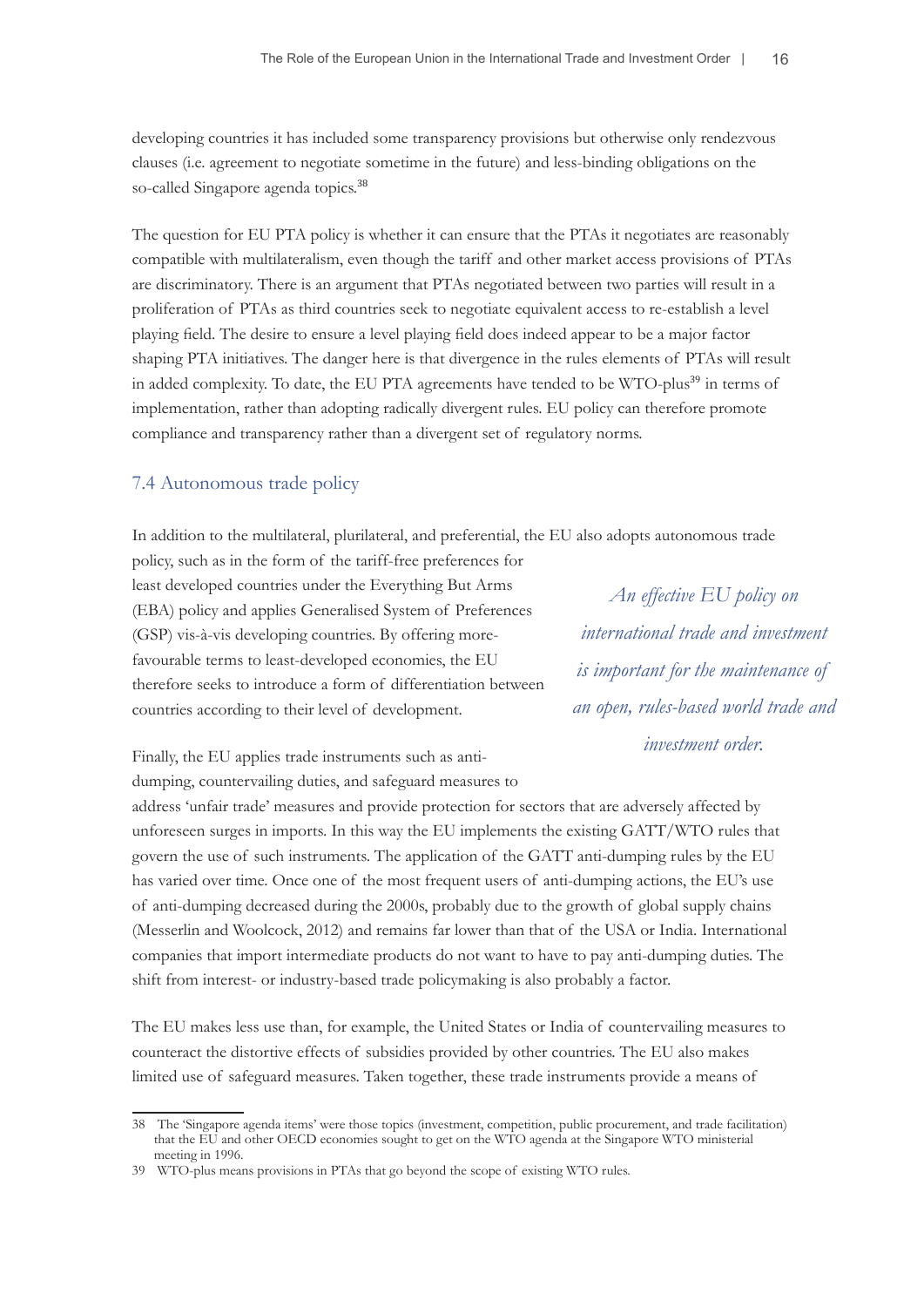developing countries it has included some transparency provisions but otherwise only rendezvous clauses (i.e. agreement to negotiate sometime in the future) and less-binding obligations on the so-called Singapore agenda topics.<sup>38</sup>

The question for EU PTA policy is whether it can ensure that the PTAs it negotiates are reasonably compatible with multilateralism, even though the tariff and other market access provisions of PTAs are discriminatory. There is an argument that PTAs negotiated between two parties will result in a proliferation of PTAs as third countries seek to negotiate equivalent access to re-establish a level playing field. The desire to ensure a level playing field does indeed appear to be a major factor shaping PTA initiatives. The danger here is that divergence in the rules elements of PTAs will result in added complexity. To date, the EU PTA agreements have tended to be WTO-plus<sup>39</sup> in terms of implementation, rather than adopting radically divergent rules. EU policy can therefore promote compliance and transparency rather than a divergent set of regulatory norms.

### 7.4 Autonomous trade policy

In addition to the multilateral, plurilateral, and preferential, the EU also adopts autonomous trade

policy, such as in the form of the tariff-free preferences for least developed countries under the Everything But Arms (EBA) policy and applies Generalised System of Preferences (GSP) vis-à-vis developing countries. By offering morefavourable terms to least-developed economies, the EU therefore seeks to introduce a form of differentiation between countries according to their level of development.

*An effective EU policy on international trade and investment is important for the maintenance of an open, rules-based world trade and investment order.*

Finally, the EU applies trade instruments such as antidumping, countervailing duties, and safeguard measures to

address 'unfair trade' measures and provide protection for sectors that are adversely affected by unforeseen surges in imports. In this way the EU implements the existing GATT/WTO rules that govern the use of such instruments. The application of the GATT anti-dumping rules by the EU has varied over time. Once one of the most frequent users of anti-dumping actions, the EU's use of anti-dumping decreased during the 2000s, probably due to the growth of global supply chains (Messerlin and Woolcock, 2012) and remains far lower than that of the USA or India. International companies that import intermediate products do not want to have to pay anti-dumping duties. The shift from interest- or industry-based trade policymaking is also probably a factor.

The EU makes less use than, for example, the United States or India of countervailing measures to counteract the distortive effects of subsidies provided by other countries. The EU also makes limited use of safeguard measures. Taken together, these trade instruments provide a means of

<sup>38</sup> The 'Singapore agenda items' were those topics (investment, competition, public procurement, and trade facilitation) that the EU and other OECD economies sought to get on the WTO agenda at the Singapore WTO ministerial meeting in 1996.

<sup>39</sup> WTO-plus means provisions in PTAs that go beyond the scope of existing WTO rules.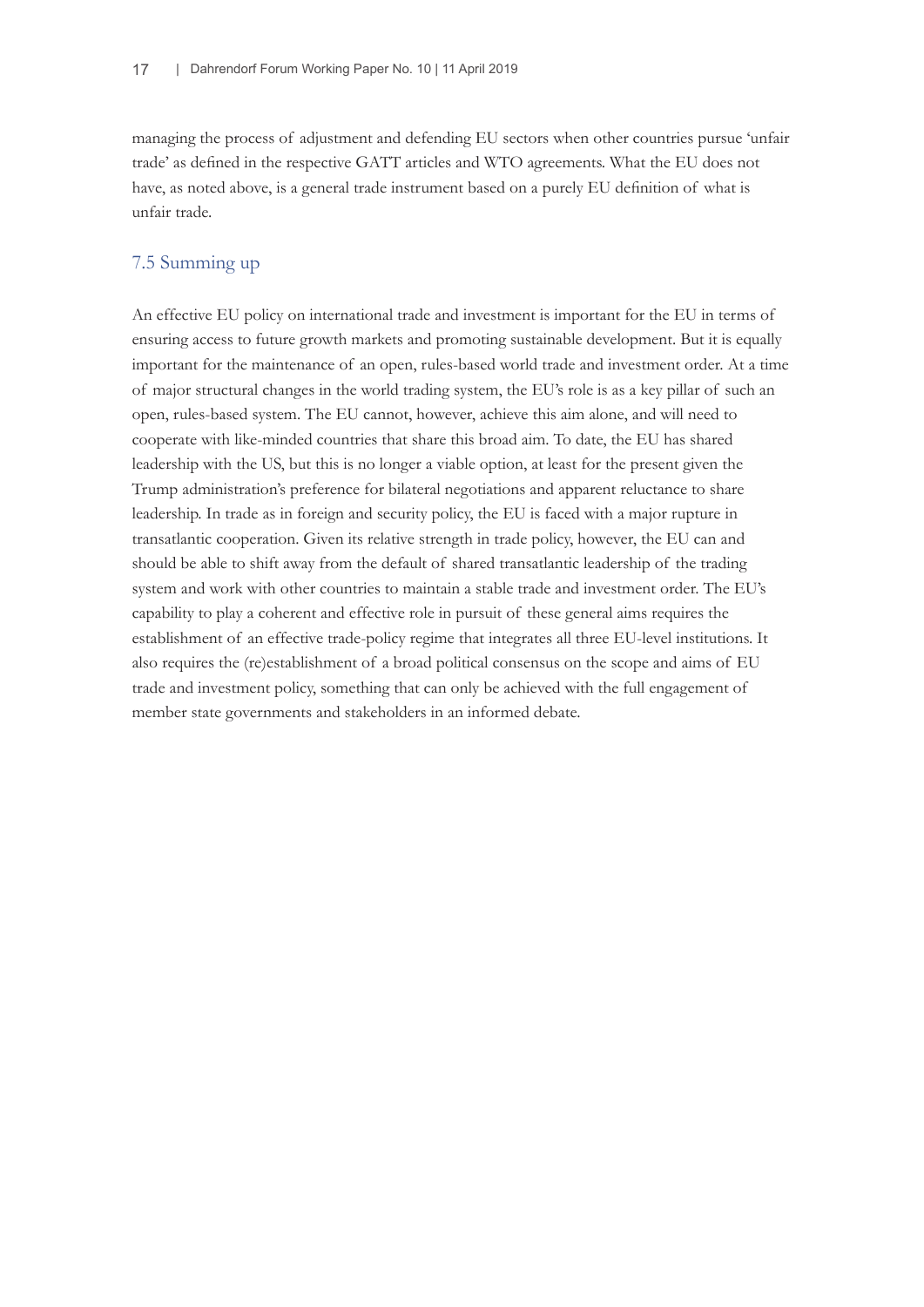managing the process of adjustment and defending EU sectors when other countries pursue 'unfair trade' as defined in the respective GATT articles and WTO agreements. What the EU does not have, as noted above, is a general trade instrument based on a purely EU definition of what is unfair trade.

## 7.5 Summing up

An effective EU policy on international trade and investment is important for the EU in terms of ensuring access to future growth markets and promoting sustainable development. But it is equally important for the maintenance of an open, rules-based world trade and investment order. At a time of major structural changes in the world trading system, the EU's role is as a key pillar of such an open, rules-based system. The EU cannot, however, achieve this aim alone, and will need to cooperate with like-minded countries that share this broad aim. To date, the EU has shared leadership with the US, but this is no longer a viable option, at least for the present given the Trump administration's preference for bilateral negotiations and apparent reluctance to share leadership. In trade as in foreign and security policy, the EU is faced with a major rupture in transatlantic cooperation. Given its relative strength in trade policy, however, the EU can and should be able to shift away from the default of shared transatlantic leadership of the trading system and work with other countries to maintain a stable trade and investment order. The EU's capability to play a coherent and effective role in pursuit of these general aims requires the establishment of an effective trade-policy regime that integrates all three EU-level institutions. It also requires the (re)establishment of a broad political consensus on the scope and aims of EU trade and investment policy, something that can only be achieved with the full engagement of member state governments and stakeholders in an informed debate.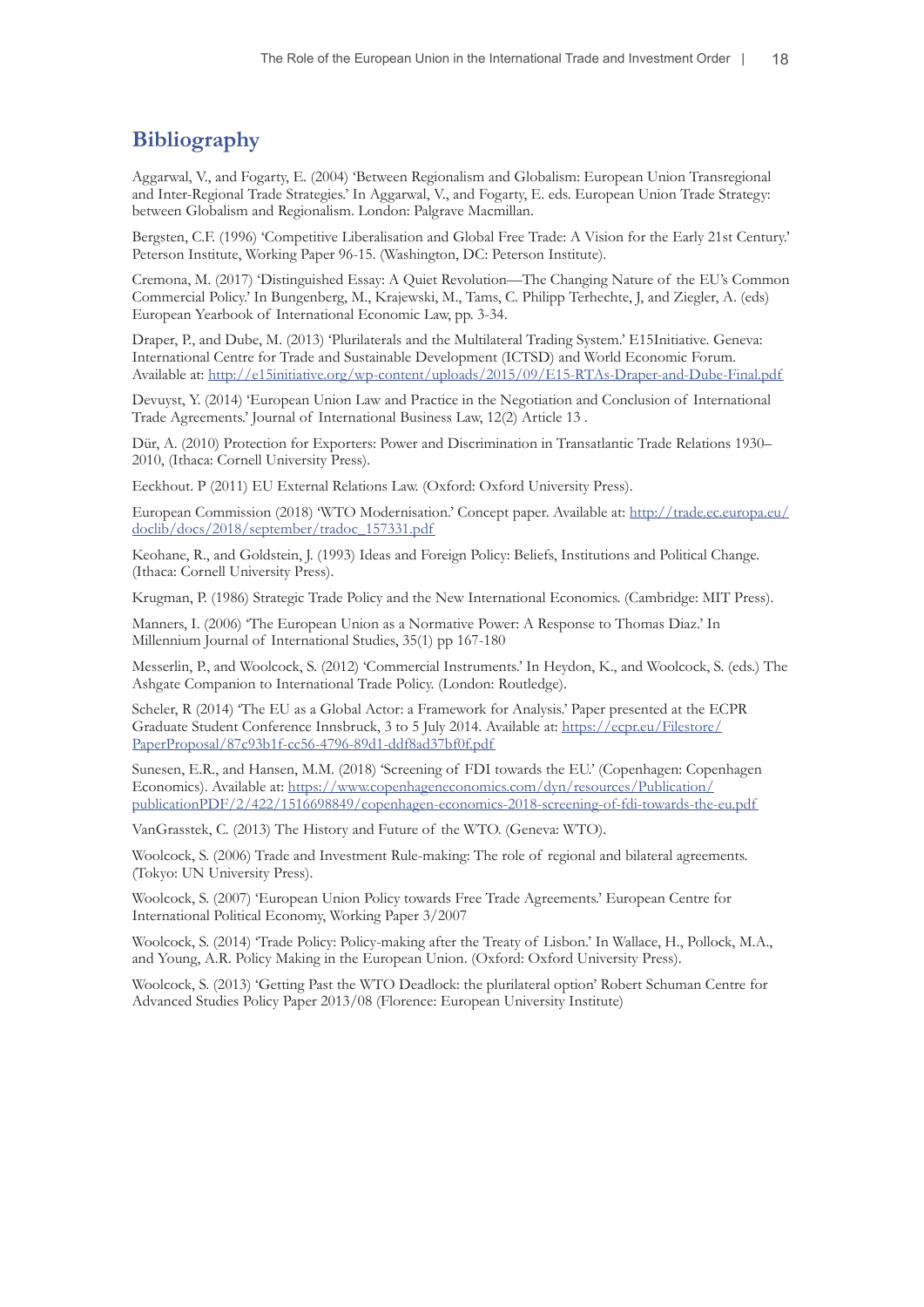## **Bibliography**

Aggarwal, V., and Fogarty, E. (2004) 'Between Regionalism and Globalism: European Union Transregional and Inter-Regional Trade Strategies.' In Aggarwal, V., and Fogarty, E. eds. European Union Trade Strategy: between Globalism and Regionalism. London: Palgrave Macmillan.

Bergsten, C.F. (1996) 'Competitive Liberalisation and Global Free Trade: A Vision for the Early 21st Century.' Peterson Institute, Working Paper 96-15. (Washington, DC: Peterson Institute).

Cremona, M. (2017) 'Distinguished Essay: A Quiet Revolution—The Changing Nature of the EU's Common Commercial Policy.' In Bungenberg, M., Krajewski, M., Tams, C. Philipp Terhechte, J, and Ziegler, A. (eds) European Yearbook of International Economic Law, pp. 3-34.

Draper, P., and Dube, M. (2013) 'Plurilaterals and the Multilateral Trading System.' E15Initiative. Geneva: International Centre for Trade and Sustainable Development (ICTSD) and World Economic Forum. Available at:<http://e15initiative.org/wp-content/uploads/2015/09/E15-RTAs-Draper-and-Dube-Final.pdf>

Devuyst, Y. (2014) 'European Union Law and Practice in the Negotiation and Conclusion of International Trade Agreements.' Journal of International Business Law, 12(2) Article 13 .

Dür, A. (2010) Protection for Exporters: Power and Discrimination in Transatlantic Trade Relations 1930– 2010, (Ithaca: Cornell University Press).

Eeckhout. P (2011) EU External Relations Law. (Oxford: Oxford University Press).

European Commission (2018) 'WTO Modernisation.' Concept paper. Available at: [http://trade.ec.europa.eu/](http://trade.ec.europa.eu/doclib/docs/2018/september/tradoc_157331.pdf) [doclib/docs/2018/september/tradoc\\_157331.pdf](http://trade.ec.europa.eu/doclib/docs/2018/september/tradoc_157331.pdf)

Keohane, R., and Goldstein, J. (1993) Ideas and Foreign Policy: Beliefs, Institutions and Political Change. (Ithaca: Cornell University Press).

Krugman, P. (1986) Strategic Trade Policy and the New International Economics. (Cambridge: MIT Press).

Manners, I. (2006) 'The European Union as a Normative Power: A Response to Thomas Diaz.' In Millennium Journal of International Studies, 35(1) pp 167-180

Messerlin, P., and Woolcock, S. (2012) 'Commercial Instruments.' In Heydon, K., and Woolcock, S. (eds.) The Ashgate Companion to International Trade Policy. (London: Routledge).

Scheler, R (2014) 'The EU as a Global Actor: a Framework for Analysis.' Paper presented at the ECPR Graduate Student Conference Innsbruck, 3 to 5 July 2014. Available at: [https://ecpr.eu/Filestore/](https://ecpr.eu/Filestore/PaperProposal/87c93b1f-cc56-4796-89d1-ddf8ad37bf0f.pdf) [PaperProposal/87c93b1f-cc56-4796-89d1-ddf8ad37bf0f.pdf](https://ecpr.eu/Filestore/PaperProposal/87c93b1f-cc56-4796-89d1-ddf8ad37bf0f.pdf)

Sunesen, E.R., and Hansen, M.M. (2018) 'Screening of FDI towards the EU.' (Copenhagen: Copenhagen Economics). Available at: [https://www.copenhageneconomics.com/dyn/resources/Publication/](https://www.copenhageneconomics.com/dyn/resources/Publication/publicationPDF/2/422/1516698849/copenhagen-economics-2018-screening-of-fdi-towards-the-eu.pdf) [publicationPDF/2/422/1516698849/copenhagen-economics-2018-screening-of-fdi-towards-the-eu.pdf](https://www.copenhageneconomics.com/dyn/resources/Publication/publicationPDF/2/422/1516698849/copenhagen-economics-2018-screening-of-fdi-towards-the-eu.pdf)

VanGrasstek, C. (2013) The History and Future of the WTO. (Geneva: WTO).

Woolcock, S. (2006) Trade and Investment Rule-making: The role of regional and bilateral agreements. (Tokyo: UN University Press).

Woolcock, S. (2007) 'European Union Policy towards Free Trade Agreements.' European Centre for International Political Economy, Working Paper 3/2007

Woolcock, S. (2014) 'Trade Policy: Policy-making after the Treaty of Lisbon.' In Wallace, H., Pollock, M.A., and Young, A.R. Policy Making in the European Union. (Oxford: Oxford University Press).

Woolcock, S. (2013) 'Getting Past the WTO Deadlock: the plurilateral option' Robert Schuman Centre for Advanced Studies Policy Paper 2013/08 (Florence: European University Institute)